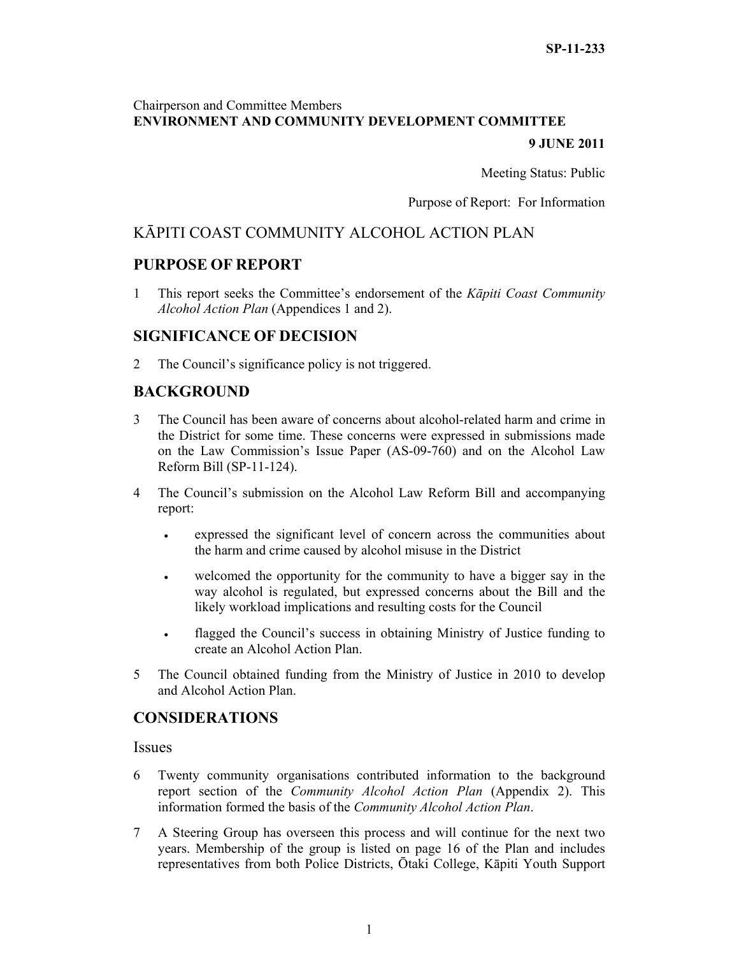#### Chairperson and Committee Members **ENVIRONMENT AND COMMUNITY DEVELOPMENT COMMITTEE**

#### **9 JUNE 2011**

Meeting Status: Public

Purpose of Report: For Information

#### KĀPITI COAST COMMUNITY ALCOHOL ACTION PLAN

#### **PURPOSE OF REPORT**

1 This report seeks the Committee's endorsement of the *Kāpiti Coast Community Alcohol Action Plan* (Appendices 1 and 2).

#### **SIGNIFICANCE OF DECISION**

2 The Council's significance policy is not triggered.

#### **BACKGROUND**

- 3 The Council has been aware of concerns about alcohol-related harm and crime in the District for some time. These concerns were expressed in submissions made on the Law Commission's Issue Paper (AS-09-760) and on the Alcohol Law Reform Bill (SP-11-124).
- 4 The Council's submission on the Alcohol Law Reform Bill and accompanying report:
	- expressed the significant level of concern across the communities about the harm and crime caused by alcohol misuse in the District
	- welcomed the opportunity for the community to have a bigger say in the way alcohol is regulated, but expressed concerns about the Bill and the likely workload implications and resulting costs for the Council
	- flagged the Council's success in obtaining Ministry of Justice funding to create an Alcohol Action Plan.
- 5 The Council obtained funding from the Ministry of Justice in 2010 to develop and Alcohol Action Plan.

#### **CONSIDERATIONS**

**Issues** 

- 6 Twenty community organisations contributed information to the background report section of the *Community Alcohol Action Plan* (Appendix 2). This information formed the basis of the *Community Alcohol Action Plan*.
- 7 A Steering Group has overseen this process and will continue for the next two years. Membership of the group is listed on page 16 of the Plan and includes representatives from both Police Districts, Ōtaki College, Kāpiti Youth Support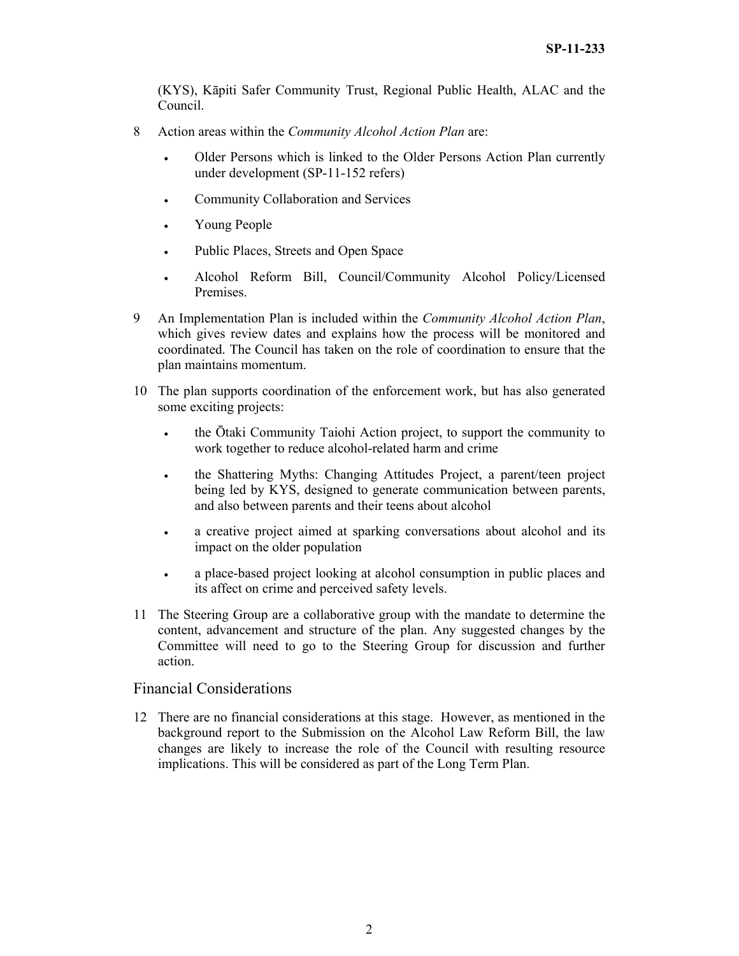(KYS), Kāpiti Safer Community Trust, Regional Public Health, ALAC and the Council.

- 8 Action areas within the *Community Alcohol Action Plan* are:
	- Older Persons which is linked to the Older Persons Action Plan currently under development (SP-11-152 refers)
	- Community Collaboration and Services
	- Young People
	- Public Places, Streets and Open Space
	- Alcohol Reform Bill, Council/Community Alcohol Policy/Licensed Premises.
- 9 An Implementation Plan is included within the *Community Alcohol Action Plan*, which gives review dates and explains how the process will be monitored and coordinated. The Council has taken on the role of coordination to ensure that the plan maintains momentum.
- 10 The plan supports coordination of the enforcement work, but has also generated some exciting projects:
	- the Ōtaki Community Taiohi Action project, to support the community to work together to reduce alcohol-related harm and crime
	- the Shattering Myths: Changing Attitudes Project, a parent/teen project being led by KYS, designed to generate communication between parents, and also between parents and their teens about alcohol
	- a creative project aimed at sparking conversations about alcohol and its impact on the older population
	- a place-based project looking at alcohol consumption in public places and its affect on crime and perceived safety levels.
- 11 The Steering Group are a collaborative group with the mandate to determine the content, advancement and structure of the plan. Any suggested changes by the Committee will need to go to the Steering Group for discussion and further action.

#### Financial Considerations

12 There are no financial considerations at this stage. However, as mentioned in the background report to the Submission on the Alcohol Law Reform Bill, the law changes are likely to increase the role of the Council with resulting resource implications. This will be considered as part of the Long Term Plan.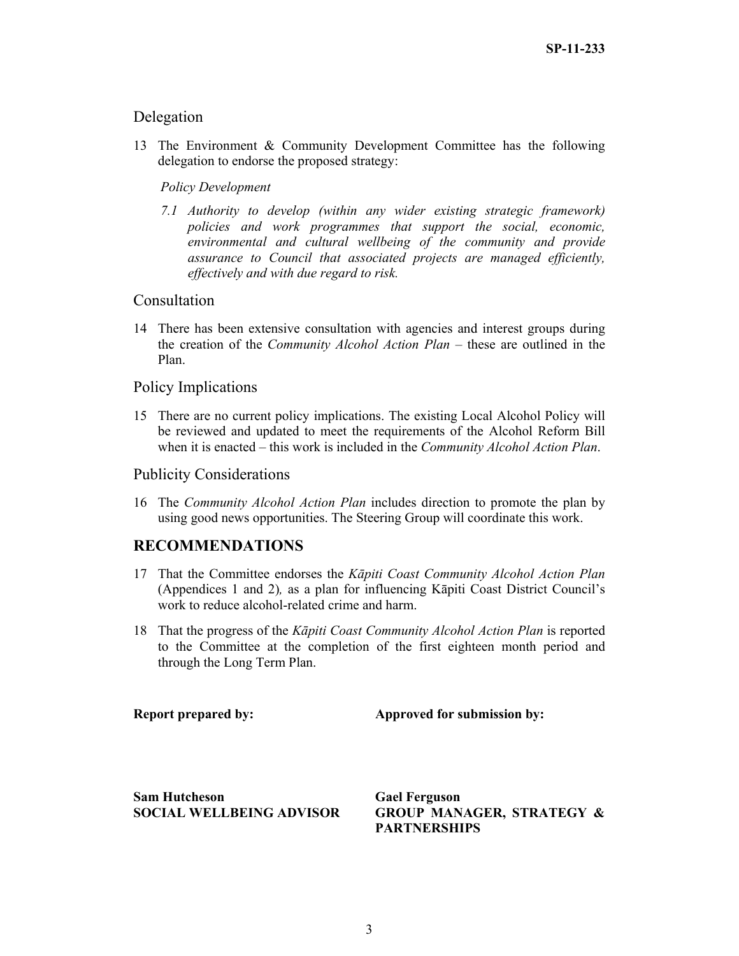#### Delegation

13 The Environment & Community Development Committee has the following delegation to endorse the proposed strategy:

#### *Policy Development*

*7.1 Authority to develop (within any wider existing strategic framework) policies and work programmes that support the social, economic, environmental and cultural wellbeing of the community and provide assurance to Council that associated projects are managed efficiently, effectively and with due regard to risk.* 

#### **Consultation**

14 There has been extensive consultation with agencies and interest groups during the creation of the *Community Alcohol Action Plan* – these are outlined in the Plan.

#### Policy Implications

15 There are no current policy implications. The existing Local Alcohol Policy will be reviewed and updated to meet the requirements of the Alcohol Reform Bill when it is enacted – this work is included in the *Community Alcohol Action Plan*.

#### Publicity Considerations

16 The *Community Alcohol Action Plan* includes direction to promote the plan by using good news opportunities. The Steering Group will coordinate this work.

#### **RECOMMENDATIONS**

- 17 That the Committee endorses the *Kāpiti Coast Community Alcohol Action Plan*  (Appendices 1 and 2)*,* as a plan for influencing Kāpiti Coast District Council's work to reduce alcohol-related crime and harm.
- 18 That the progress of the *Kāpiti Coast Community Alcohol Action Plan* is reported to the Committee at the completion of the first eighteen month period and through the Long Term Plan.

**Report prepared by:** Approved for submission by:

**Sam Hutcheson SOCIAL WELLBEING ADVISOR**  **Gael Ferguson GROUP MANAGER, STRATEGY & PARTNERSHIPS**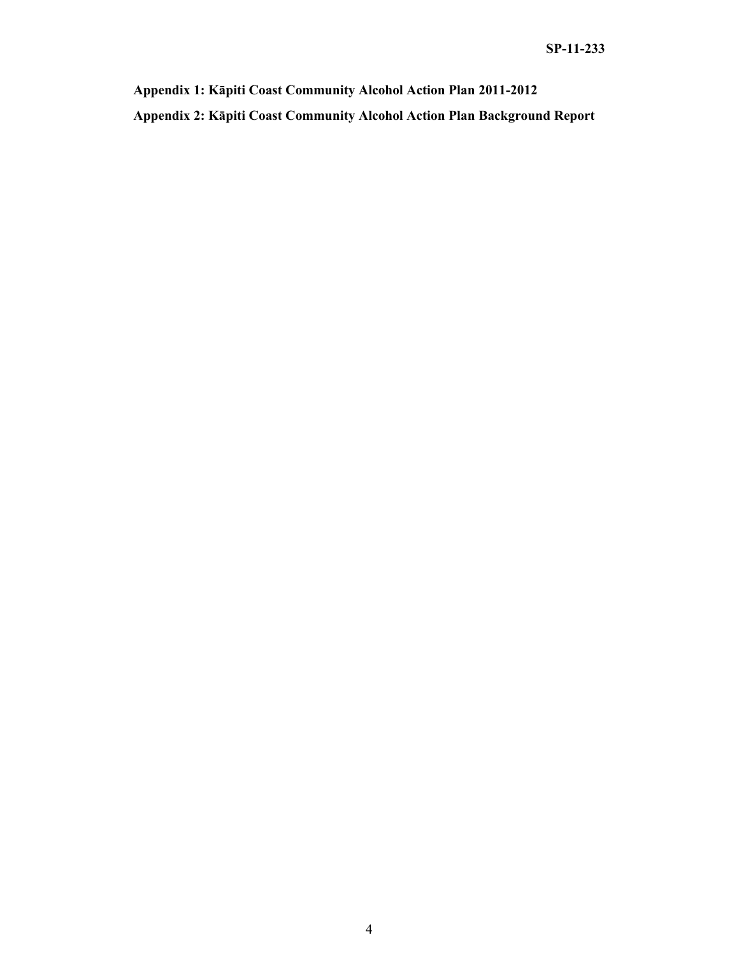**Appendix 1: Kāpiti Coast Community Alcohol Action Plan 2011-2012 Appendix 2: Kāpiti Coast Community Alcohol Action Plan Background Report**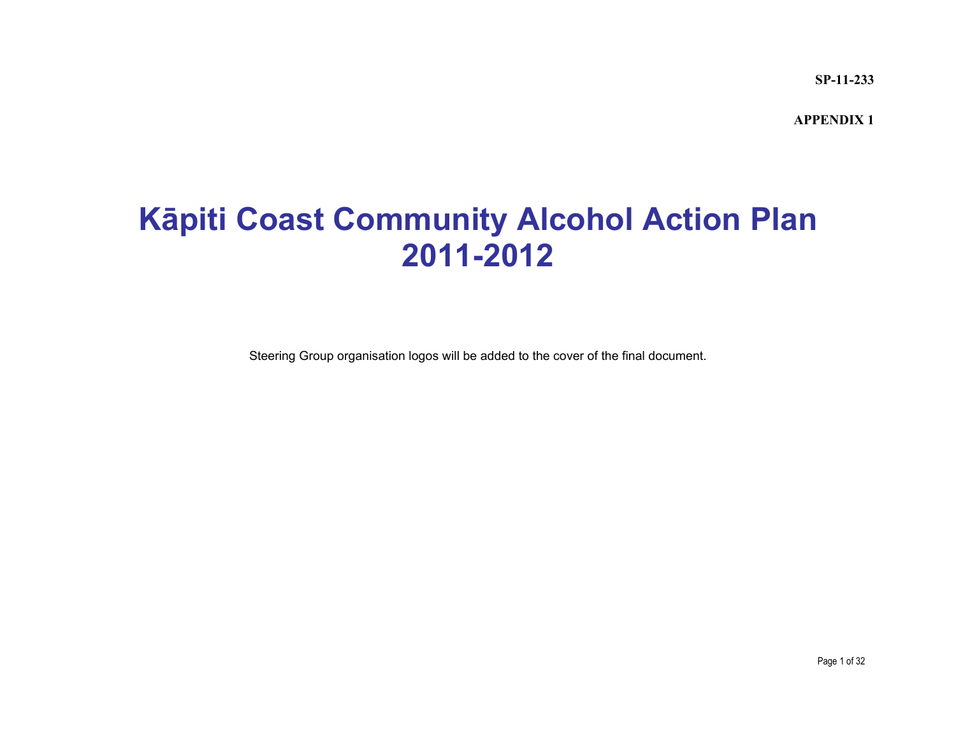**SP-11-233**

**APPENDIX 1** 

### **K āpiti Coast Community Alcohol Action Plan 2011-2012**

Steering Group organisation logos will be added to the cover of the final document.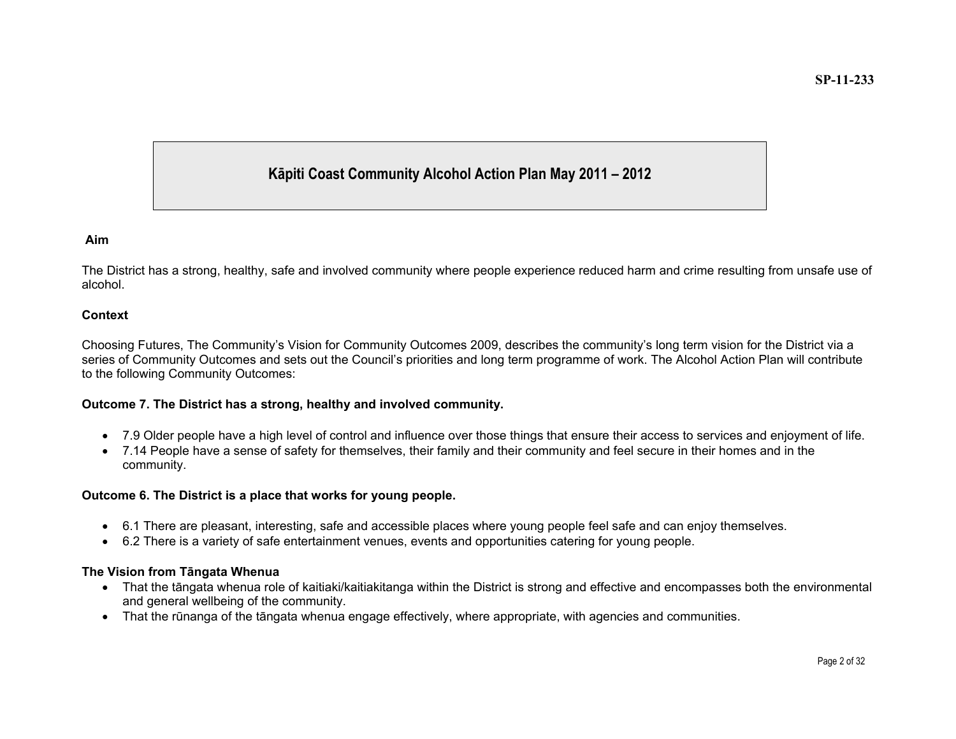#### **Kāpiti Coast Community Alcohol Action Plan May 2011 – 2012**

#### **Aim**

The District has a strong, healthy, safe and involved community where people experience reduced harm and crime resulting from unsafe use of alcohol.

#### **Context**

Choosing Futures, The Community's Vision for Community Outcomes 2009, describes the community's long term vision for the District via a series of Community Outcomes and sets out the Council's priorities and long term programme of work. The Alcohol Action Plan will contribute to the following Community Outcomes:

#### **Outcome 7. The District has a strong, healthy and involved community.**

- 7.9 Older people have a high level of control and influence over those things that ensure their access to services and enjoyment of life.
- 7.14 People have a sense of safety for themselves, their family and their community and feel secure in their homes and in the community.

#### **Outcome 6. The District is a place that works for young people.**

- 6.1 There are pleasant, interesting, safe and accessible places where young people feel safe and can enjoy themselves.
- 6.2 There is a variety of safe entertainment venues, events and opportunities catering for young people.

#### **The Vision from T āngata Whenua**

- That the t āngata whenua role of kaitiaki/kaitiakitanga within the District is strong and effective and encompasses both the environmental and general wellbeing of the community.
- $\bullet$  That the rūnanga of the tāngata whenua engage effectively, where appropriate, with agencies and communities.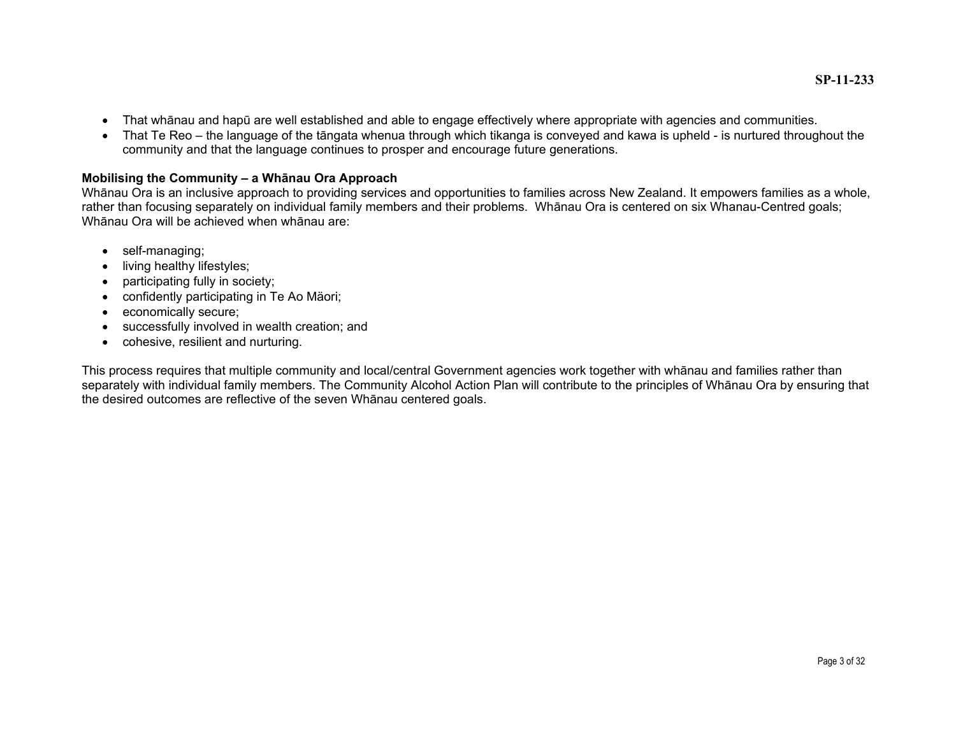- That wh ānau and hapū are well established and able to engage effectively where appropriate with agencies and communities.
- That Te Reo the language of the t āngata whenua through which tikanga is conveyed and kawa is upheld is nurtured throughout the community and that the language continues to prosper and encourage future generations.

#### **Mobilising the Community – a Wh ānau Ora Approach**

Wh ānau Ora is an inclusive approach to providing services and opportunities to families across New Zealand. It empowers families as a whole, rather than focusing separately on individual family members and their problems. Wh ānau Ora is centered on six Whanau-Centred goals; Whānau Ora will be achieved when whānau are:

- self-managing;
- living healthy lifestyles;
- participating fully in society;
- confidently participating in Te Ao Mäori;
- economically secure;
- successfully involved in wealth creation; and
- cohesive, resilient and nurturing.

This process requires that multiple community and local/central Government agencies work together with wh ānau and families rather than separately with individual family members. The Community Alcohol Action Plan will contribute to the principles of Wh ānau Ora by ensuring that the desired outcomes are reflective of the seven Wh ānau centered goals.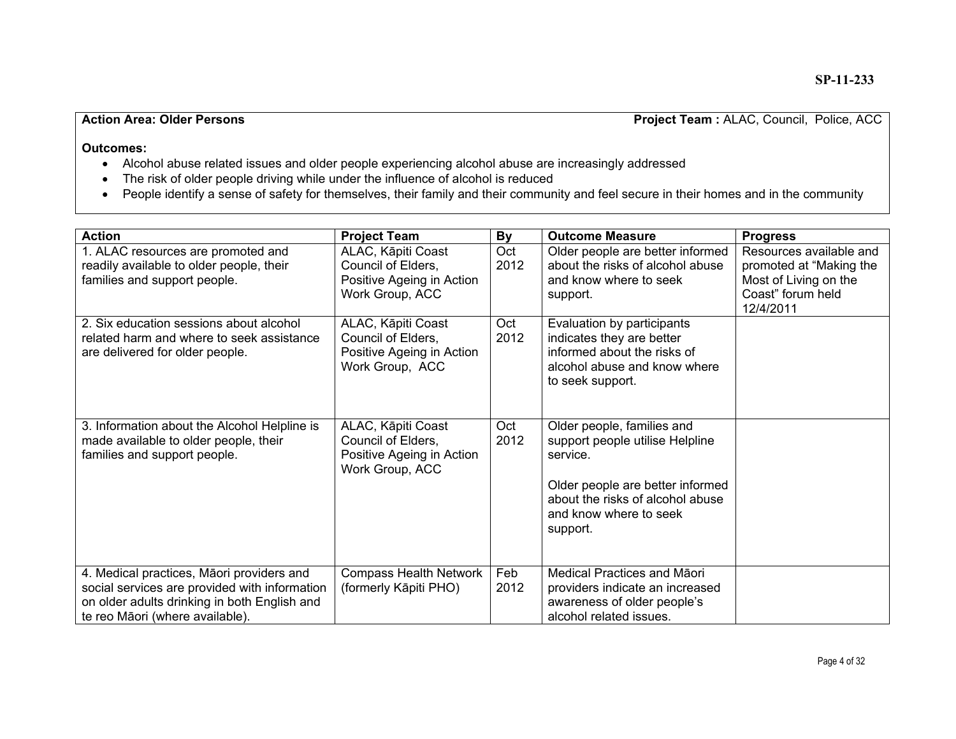#### **Action Area: Older Persons** Project Team : ALAC, Council, Police, ACC

- Alcohol abuse related issues and older people experiencing alcohol abuse are increasingly addressed
- The risk of older people driving while under the influence of alcohol is reduced
- People identify a sense of safety for themselves, their family and their community and feel secure in their homes and in the community

| <b>Action</b>                                                                                                                                                                 | <b>Project Team</b>                                                                      | By          | <b>Outcome Measure</b>                                                                                                                                                                  | <b>Progress</b>                                                                                               |
|-------------------------------------------------------------------------------------------------------------------------------------------------------------------------------|------------------------------------------------------------------------------------------|-------------|-----------------------------------------------------------------------------------------------------------------------------------------------------------------------------------------|---------------------------------------------------------------------------------------------------------------|
| 1. ALAC resources are promoted and<br>readily available to older people, their<br>families and support people.                                                                | ALAC, Kāpiti Coast<br>Council of Elders,<br>Positive Ageing in Action<br>Work Group, ACC | Oct<br>2012 | Older people are better informed<br>about the risks of alcohol abuse<br>and know where to seek<br>support.                                                                              | Resources available and<br>promoted at "Making the<br>Most of Living on the<br>Coast" forum held<br>12/4/2011 |
| 2. Six education sessions about alcohol<br>related harm and where to seek assistance<br>are delivered for older people.                                                       | ALAC, Kāpiti Coast<br>Council of Elders,<br>Positive Ageing in Action<br>Work Group, ACC | Oct<br>2012 | Evaluation by participants<br>indicates they are better<br>informed about the risks of<br>alcohol abuse and know where<br>to seek support.                                              |                                                                                                               |
| 3. Information about the Alcohol Helpline is<br>made available to older people, their<br>families and support people.                                                         | ALAC, Kāpiti Coast<br>Council of Elders,<br>Positive Ageing in Action<br>Work Group, ACC | Oct<br>2012 | Older people, families and<br>support people utilise Helpline<br>service.<br>Older people are better informed<br>about the risks of alcohol abuse<br>and know where to seek<br>support. |                                                                                                               |
| 4. Medical practices, Māori providers and<br>social services are provided with information<br>on older adults drinking in both English and<br>te reo Māori (where available). | <b>Compass Health Network</b><br>(formerly Kāpiti PHO)                                   | Feb<br>2012 | Medical Practices and Māori<br>providers indicate an increased<br>awareness of older people's<br>alcohol related issues.                                                                |                                                                                                               |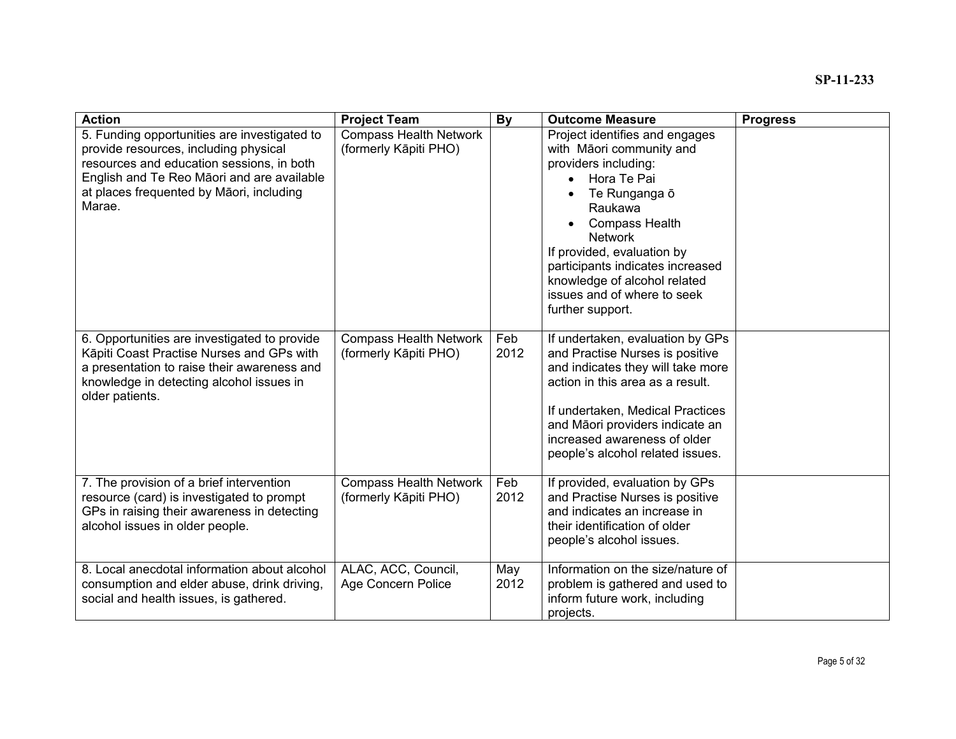| <b>Action</b>                                                                                                                                                                                                                          | <b>Project Team</b>                                    | <b>By</b>   | <b>Outcome Measure</b>                                                                                                                                                                                                                                                                                                                                  | <b>Progress</b> |
|----------------------------------------------------------------------------------------------------------------------------------------------------------------------------------------------------------------------------------------|--------------------------------------------------------|-------------|---------------------------------------------------------------------------------------------------------------------------------------------------------------------------------------------------------------------------------------------------------------------------------------------------------------------------------------------------------|-----------------|
| 5. Funding opportunities are investigated to<br>provide resources, including physical<br>resources and education sessions, in both<br>English and Te Reo Māori and are available<br>at places frequented by Māori, including<br>Marae. | <b>Compass Health Network</b><br>(formerly Kāpiti PHO) |             | Project identifies and engages<br>with Māori community and<br>providers including:<br>Hora Te Pai<br>$\bullet$<br>Te Runganga ō<br>$\bullet$<br>Raukawa<br><b>Compass Health</b><br><b>Network</b><br>If provided, evaluation by<br>participants indicates increased<br>knowledge of alcohol related<br>issues and of where to seek<br>further support. |                 |
| 6. Opportunities are investigated to provide<br>Kāpiti Coast Practise Nurses and GPs with<br>a presentation to raise their awareness and<br>knowledge in detecting alcohol issues in<br>older patients.                                | <b>Compass Health Network</b><br>(formerly Kāpiti PHO) | Feb<br>2012 | If undertaken, evaluation by GPs<br>and Practise Nurses is positive<br>and indicates they will take more<br>action in this area as a result.<br>If undertaken, Medical Practices<br>and Māori providers indicate an<br>increased awareness of older<br>people's alcohol related issues.                                                                 |                 |
| 7. The provision of a brief intervention<br>resource (card) is investigated to prompt<br>GPs in raising their awareness in detecting<br>alcohol issues in older people.                                                                | <b>Compass Health Network</b><br>(formerly Kāpiti PHO) | Feb<br>2012 | If provided, evaluation by GPs<br>and Practise Nurses is positive<br>and indicates an increase in<br>their identification of older<br>people's alcohol issues.                                                                                                                                                                                          |                 |
| 8. Local anecdotal information about alcohol<br>consumption and elder abuse, drink driving,<br>social and health issues, is gathered.                                                                                                  | ALAC, ACC, Council,<br>Age Concern Police              | May<br>2012 | Information on the size/nature of<br>problem is gathered and used to<br>inform future work, including<br>projects.                                                                                                                                                                                                                                      |                 |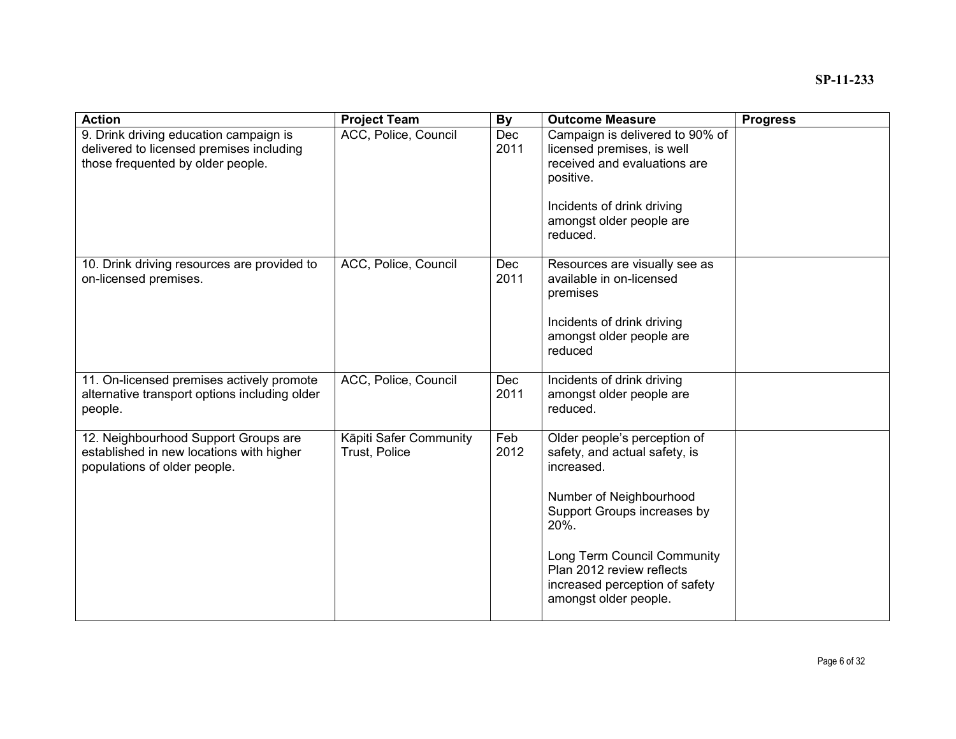| ACC, Police, Council<br><b>Dec</b><br>Campaign is delivered to 90% of<br>9. Drink driving education campaign is<br>delivered to licensed premises including<br>2011<br>licensed premises, is well<br>those frequented by older people.<br>received and evaluations are<br>positive.<br>Incidents of drink driving<br>amongst older people are<br>reduced.<br>ACC, Police, Council<br>10. Drink driving resources are provided to<br><b>Dec</b><br>Resources are visually see as<br>2011<br>available in on-licensed<br>on-licensed premises.<br>premises<br>Incidents of drink driving<br>amongst older people are<br>reduced<br>ACC, Police, Council<br>11. On-licensed premises actively promote<br><b>Dec</b><br>Incidents of drink driving<br>alternative transport options including older<br>2011<br>amongst older people are<br>reduced.<br>people.<br>Feb<br>12. Neighbourhood Support Groups are<br>Kāpiti Safer Community<br>Older people's perception of<br>2012<br>established in new locations with higher<br>safety, and actual safety, is<br>Trust, Police<br>populations of older people.<br>increased.<br>Number of Neighbourhood<br>Support Groups increases by<br>20%.<br>Long Term Council Community | <b>Action</b> | <b>Project Team</b> | <b>By</b> | <b>Outcome Measure</b> | <b>Progress</b> |
|--------------------------------------------------------------------------------------------------------------------------------------------------------------------------------------------------------------------------------------------------------------------------------------------------------------------------------------------------------------------------------------------------------------------------------------------------------------------------------------------------------------------------------------------------------------------------------------------------------------------------------------------------------------------------------------------------------------------------------------------------------------------------------------------------------------------------------------------------------------------------------------------------------------------------------------------------------------------------------------------------------------------------------------------------------------------------------------------------------------------------------------------------------------------------------------------------------------------------|---------------|---------------------|-----------|------------------------|-----------------|
|                                                                                                                                                                                                                                                                                                                                                                                                                                                                                                                                                                                                                                                                                                                                                                                                                                                                                                                                                                                                                                                                                                                                                                                                                          |               |                     |           |                        |                 |
|                                                                                                                                                                                                                                                                                                                                                                                                                                                                                                                                                                                                                                                                                                                                                                                                                                                                                                                                                                                                                                                                                                                                                                                                                          |               |                     |           |                        |                 |
|                                                                                                                                                                                                                                                                                                                                                                                                                                                                                                                                                                                                                                                                                                                                                                                                                                                                                                                                                                                                                                                                                                                                                                                                                          |               |                     |           |                        |                 |
|                                                                                                                                                                                                                                                                                                                                                                                                                                                                                                                                                                                                                                                                                                                                                                                                                                                                                                                                                                                                                                                                                                                                                                                                                          |               |                     |           |                        |                 |
|                                                                                                                                                                                                                                                                                                                                                                                                                                                                                                                                                                                                                                                                                                                                                                                                                                                                                                                                                                                                                                                                                                                                                                                                                          |               |                     |           |                        |                 |
|                                                                                                                                                                                                                                                                                                                                                                                                                                                                                                                                                                                                                                                                                                                                                                                                                                                                                                                                                                                                                                                                                                                                                                                                                          |               |                     |           |                        |                 |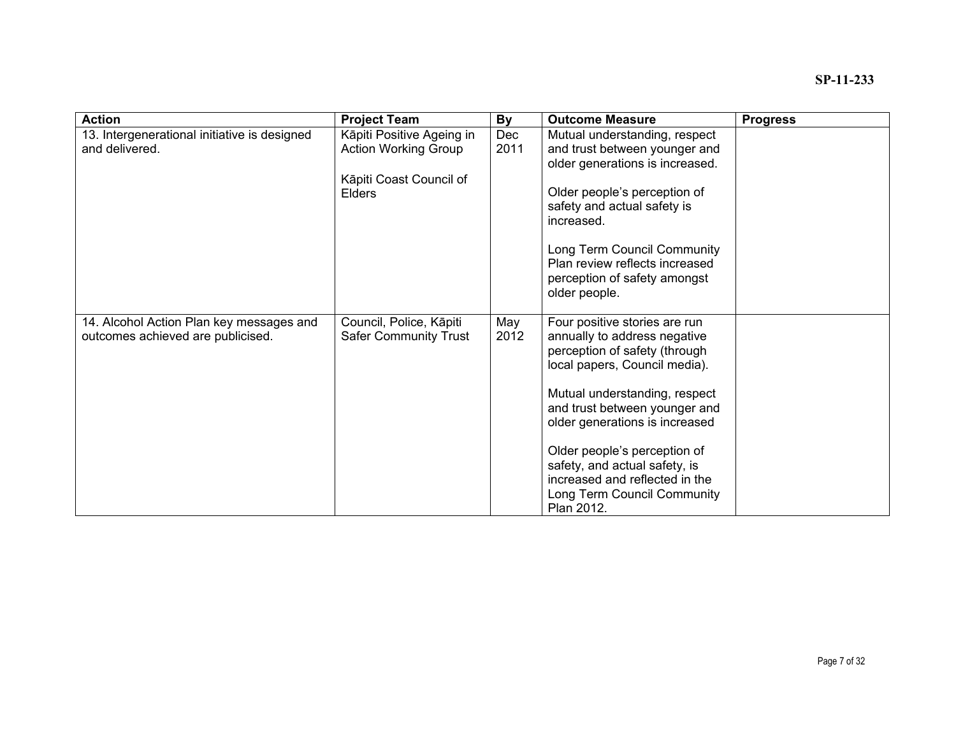| <b>Action</b>                                                                 | <b>Project Team</b>                                      | <b>By</b>          | <b>Outcome Measure</b>                                                                                                                       | <b>Progress</b> |
|-------------------------------------------------------------------------------|----------------------------------------------------------|--------------------|----------------------------------------------------------------------------------------------------------------------------------------------|-----------------|
| 13. Intergenerational initiative is designed<br>and delivered.                | Kāpiti Positive Ageing in<br><b>Action Working Group</b> | <b>Dec</b><br>2011 | Mutual understanding, respect<br>and trust between younger and<br>older generations is increased.                                            |                 |
|                                                                               | Kāpiti Coast Council of<br><b>Elders</b>                 |                    | Older people's perception of<br>safety and actual safety is<br>increased.                                                                    |                 |
|                                                                               |                                                          |                    | Long Term Council Community<br>Plan review reflects increased<br>perception of safety amongst<br>older people.                               |                 |
| 14. Alcohol Action Plan key messages and<br>outcomes achieved are publicised. | Council, Police, Kāpiti<br><b>Safer Community Trust</b>  | May<br>2012        | Four positive stories are run<br>annually to address negative<br>perception of safety (through<br>local papers, Council media).              |                 |
|                                                                               |                                                          |                    | Mutual understanding, respect<br>and trust between younger and<br>older generations is increased                                             |                 |
|                                                                               |                                                          |                    | Older people's perception of<br>safety, and actual safety, is<br>increased and reflected in the<br>Long Term Council Community<br>Plan 2012. |                 |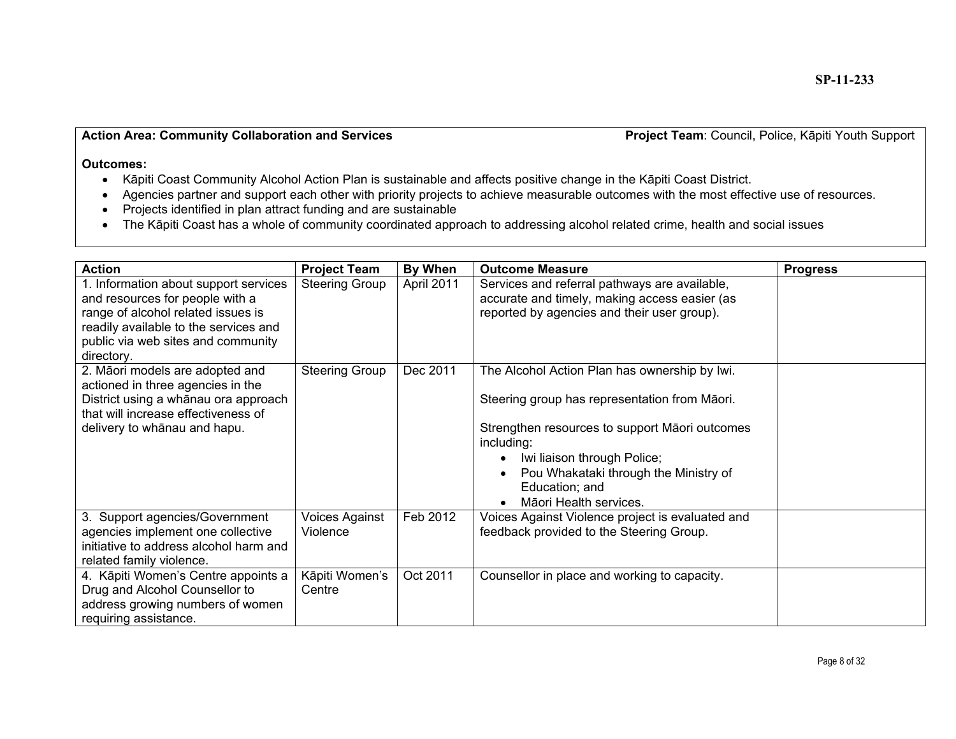#### **Action Area: Community Collaboration and Services**

Project Team: Council, Police, Kāpiti Youth Support

- K āpiti Coast Community Alcohol Action Plan is sustainable and affects positive change in the K āpiti Coast District.
- Agencies partner and support each other with priority projects to achieve measurable outcomes with the most effective use of resources.
- Projects identified in plan attract funding and are sustainable
- The K āpiti Coast has a whole of community coordinated approach to addressing alcohol related crime, health and social issues

| <b>Action</b>                                                                                                                                                                                               | <b>Project Team</b>        | By When    | <b>Outcome Measure</b>                                                                                                                                                                                                                                                             | <b>Progress</b> |
|-------------------------------------------------------------------------------------------------------------------------------------------------------------------------------------------------------------|----------------------------|------------|------------------------------------------------------------------------------------------------------------------------------------------------------------------------------------------------------------------------------------------------------------------------------------|-----------------|
| 1. Information about support services<br>and resources for people with a<br>range of alcohol related issues is<br>readily available to the services and<br>public via web sites and community<br>directory. | <b>Steering Group</b>      | April 2011 | Services and referral pathways are available,<br>accurate and timely, making access easier (as<br>reported by agencies and their user group).                                                                                                                                      |                 |
| 2. Māori models are adopted and<br>actioned in three agencies in the<br>District using a whānau ora approach<br>that will increase effectiveness of<br>delivery to whānau and hapu.                         | <b>Steering Group</b>      | Dec 2011   | The Alcohol Action Plan has ownership by Iwi.<br>Steering group has representation from Māori.<br>Strengthen resources to support Māori outcomes<br>including:<br>Iwi liaison through Police;<br>Pou Whakataki through the Ministry of<br>Education; and<br>Māori Health services. |                 |
| 3. Support agencies/Government<br>agencies implement one collective<br>initiative to address alcohol harm and<br>related family violence.                                                                   | Voices Against<br>Violence | Feb 2012   | Voices Against Violence project is evaluated and<br>feedback provided to the Steering Group.                                                                                                                                                                                       |                 |
| 4. Kāpiti Women's Centre appoints a<br>Drug and Alcohol Counsellor to<br>address growing numbers of women<br>requiring assistance.                                                                          | Kāpiti Women's<br>Centre   | Oct 2011   | Counsellor in place and working to capacity.                                                                                                                                                                                                                                       |                 |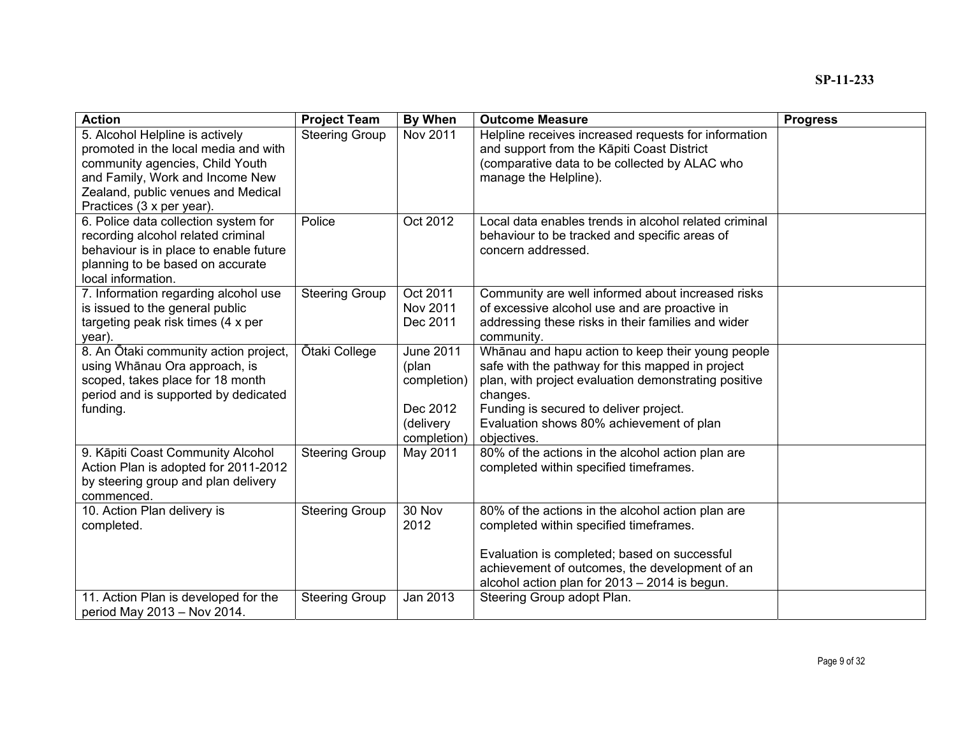| <b>Action</b>                                                                                                                                                                                                    | <b>Project Team</b>   | <b>By When</b>                                                                   | <b>Outcome Measure</b>                                                                                                                                                                                                                                                         | <b>Progress</b> |
|------------------------------------------------------------------------------------------------------------------------------------------------------------------------------------------------------------------|-----------------------|----------------------------------------------------------------------------------|--------------------------------------------------------------------------------------------------------------------------------------------------------------------------------------------------------------------------------------------------------------------------------|-----------------|
| 5. Alcohol Helpline is actively<br>promoted in the local media and with<br>community agencies, Child Youth<br>and Family, Work and Income New<br>Zealand, public venues and Medical<br>Practices (3 x per year). | <b>Steering Group</b> | Nov 2011                                                                         | Helpline receives increased requests for information<br>and support from the Kāpiti Coast District<br>(comparative data to be collected by ALAC who<br>manage the Helpline).                                                                                                   |                 |
| 6. Police data collection system for<br>recording alcohol related criminal<br>behaviour is in place to enable future<br>planning to be based on accurate<br>local information.                                   | Police                | Oct 2012                                                                         | Local data enables trends in alcohol related criminal<br>behaviour to be tracked and specific areas of<br>concern addressed.                                                                                                                                                   |                 |
| 7. Information regarding alcohol use<br>is issued to the general public<br>targeting peak risk times (4 x per<br>year).                                                                                          | <b>Steering Group</b> | Oct 2011<br>Nov 2011<br>Dec 2011                                                 | Community are well informed about increased risks<br>of excessive alcohol use and are proactive in<br>addressing these risks in their families and wider<br>community.                                                                                                         |                 |
| 8. An Ōtaki community action project,<br>using Whānau Ora approach, is<br>scoped, takes place for 18 month<br>period and is supported by dedicated<br>funding.                                                   | Ōtaki College         | <b>June 2011</b><br>(plan<br>completion)<br>Dec 2012<br>(delivery<br>completion) | Whānau and hapu action to keep their young people<br>safe with the pathway for this mapped in project<br>plan, with project evaluation demonstrating positive<br>changes.<br>Funding is secured to deliver project.<br>Evaluation shows 80% achievement of plan<br>objectives. |                 |
| 9. Kāpiti Coast Community Alcohol<br>Action Plan is adopted for 2011-2012<br>by steering group and plan delivery<br>commenced.                                                                                   | <b>Steering Group</b> | May 2011                                                                         | 80% of the actions in the alcohol action plan are<br>completed within specified timeframes.                                                                                                                                                                                    |                 |
| 10. Action Plan delivery is<br>completed.                                                                                                                                                                        | <b>Steering Group</b> | 30 Nov<br>2012                                                                   | 80% of the actions in the alcohol action plan are<br>completed within specified timeframes.<br>Evaluation is completed; based on successful<br>achievement of outcomes, the development of an<br>alcohol action plan for 2013 - 2014 is begun.                                 |                 |
| 11. Action Plan is developed for the<br>period May 2013 - Nov 2014.                                                                                                                                              | <b>Steering Group</b> | Jan 2013                                                                         | Steering Group adopt Plan.                                                                                                                                                                                                                                                     |                 |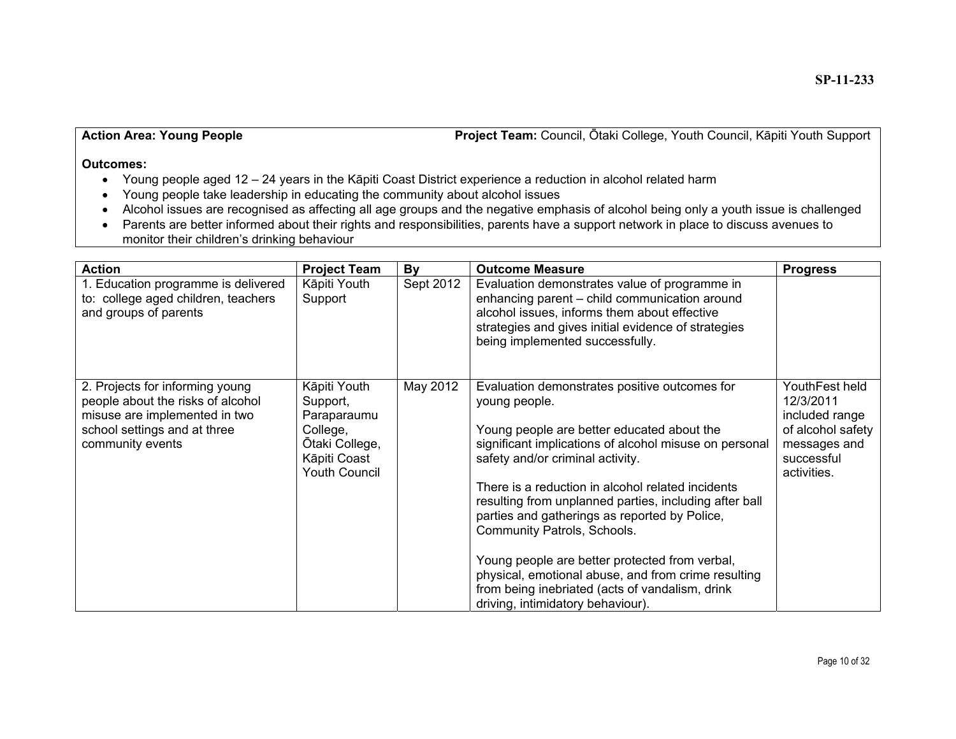#### **Action Area: Young People**

Ōtaki College, Youth Council, K āpiti Youth Support

- Young people aged 12 24 years in the K āpiti Coast District experience a reduction in alcohol related harm
- Young people take leadership in educating the community about alcohol issues
- Alcohol issues are recognised as affecting all age groups and the negative emphasis of alcohol being only a youth issue is challenged
- Parents are better informed about their rights and responsibilities, parents have a support network in place to discuss avenues to monitor their children's drinking behaviour

| <b>Action</b>                                                                                                                                             | <b>Project Team</b>                                                                                           | By        | <b>Outcome Measure</b>                                                                                                                                                                                                                                                                                                                                                                                                                                                                                                                                                                                     | <b>Progress</b>                                                                                                 |
|-----------------------------------------------------------------------------------------------------------------------------------------------------------|---------------------------------------------------------------------------------------------------------------|-----------|------------------------------------------------------------------------------------------------------------------------------------------------------------------------------------------------------------------------------------------------------------------------------------------------------------------------------------------------------------------------------------------------------------------------------------------------------------------------------------------------------------------------------------------------------------------------------------------------------------|-----------------------------------------------------------------------------------------------------------------|
| 1. Education programme is delivered<br>to: college aged children, teachers<br>and groups of parents                                                       | Kāpiti Youth<br>Support                                                                                       | Sept 2012 | Evaluation demonstrates value of programme in<br>enhancing parent - child communication around<br>alcohol issues, informs them about effective<br>strategies and gives initial evidence of strategies<br>being implemented successfully.                                                                                                                                                                                                                                                                                                                                                                   |                                                                                                                 |
| 2. Projects for informing young<br>people about the risks of alcohol<br>misuse are implemented in two<br>school settings and at three<br>community events | Kāpiti Youth<br>Support,<br>Paraparaumu<br>College,<br>Ōtaki College,<br>Kāpiti Coast<br><b>Youth Council</b> | May 2012  | Evaluation demonstrates positive outcomes for<br>young people.<br>Young people are better educated about the<br>significant implications of alcohol misuse on personal<br>safety and/or criminal activity.<br>There is a reduction in alcohol related incidents<br>resulting from unplanned parties, including after ball<br>parties and gatherings as reported by Police,<br>Community Patrols, Schools.<br>Young people are better protected from verbal,<br>physical, emotional abuse, and from crime resulting<br>from being inebriated (acts of vandalism, drink<br>driving, intimidatory behaviour). | YouthFest held<br>12/3/2011<br>included range<br>of alcohol safety<br>messages and<br>successful<br>activities. |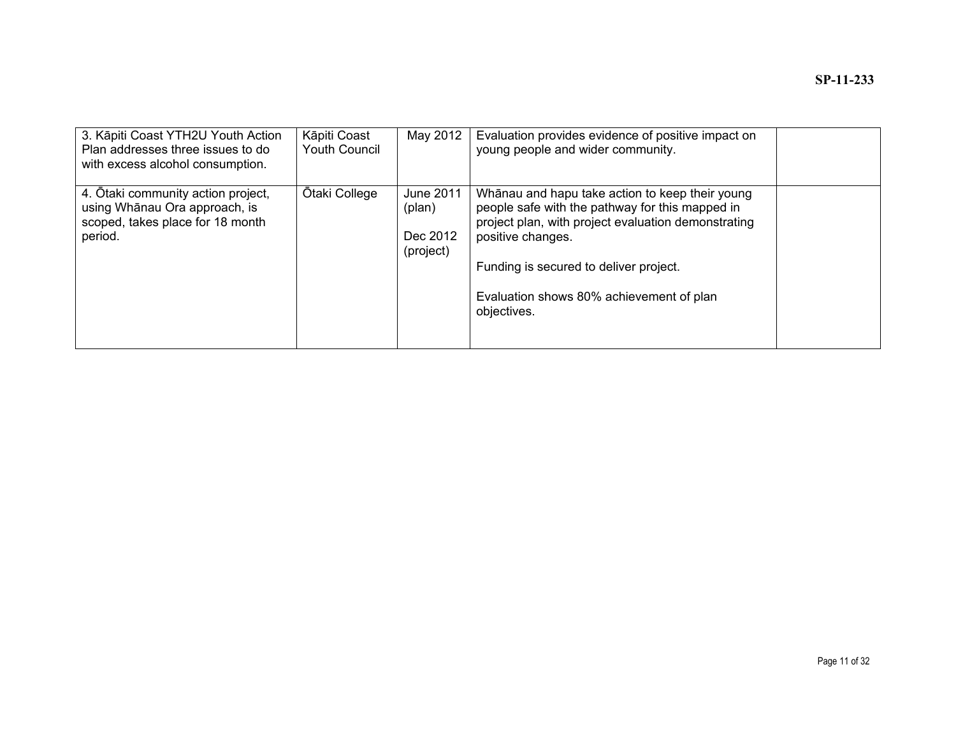| 3. Kāpiti Coast YTH2U Youth Action<br>Plan addresses three issues to do<br>with excess alcohol consumption.        | Kāpiti Coast<br><b>Youth Council</b> | May 2012                                     | Evaluation provides evidence of positive impact on<br>young people and wider community.                                                                                                                                                                                             |  |
|--------------------------------------------------------------------------------------------------------------------|--------------------------------------|----------------------------------------------|-------------------------------------------------------------------------------------------------------------------------------------------------------------------------------------------------------------------------------------------------------------------------------------|--|
| 4. Otaki community action project,<br>using Whānau Ora approach, is<br>scoped, takes place for 18 month<br>period. | Ōtaki College                        | June 2011<br>(plan)<br>Dec 2012<br>(project) | Whanau and hapu take action to keep their young<br>people safe with the pathway for this mapped in<br>project plan, with project evaluation demonstrating<br>positive changes.<br>Funding is secured to deliver project.<br>Evaluation shows 80% achievement of plan<br>objectives. |  |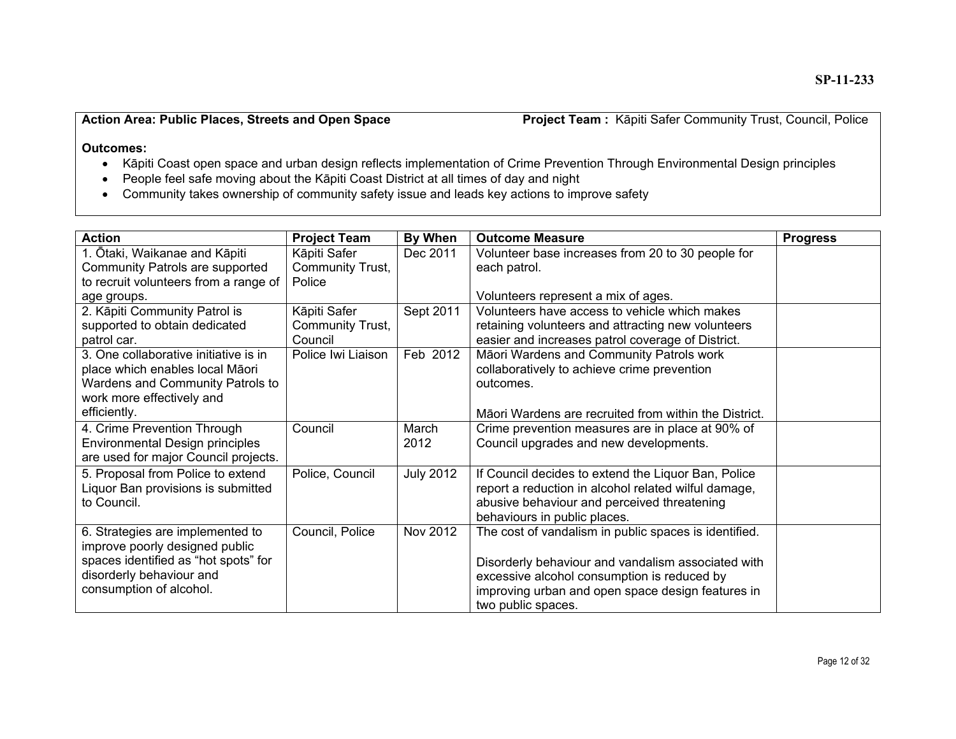#### **Action Area: Public Places, Streets and Open Space**

Project Team: Kāpiti Safer Community Trust, Council, Police

- $\bullet$ āpiti Coast open space and urban design reflects implementation of Crime Prevention Through Environmental Design principles
- People feel safe moving about the K āpiti Coast District at all times of day and night
- Community takes ownership of community safety issue and leads key actions to improve safety

| <b>Action</b>                         | <b>Project Team</b> | By When          | <b>Outcome Measure</b>                                | <b>Progress</b> |
|---------------------------------------|---------------------|------------------|-------------------------------------------------------|-----------------|
| 1. Ōtaki, Waikanae and Kāpiti         | Kāpiti Safer        | Dec 2011         | Volunteer base increases from 20 to 30 people for     |                 |
| Community Patrols are supported       | Community Trust,    |                  | each patrol.                                          |                 |
| to recruit volunteers from a range of | Police              |                  |                                                       |                 |
| age groups.                           |                     |                  | Volunteers represent a mix of ages.                   |                 |
| 2. Kāpiti Community Patrol is         | Kāpiti Safer        | Sept 2011        | Volunteers have access to vehicle which makes         |                 |
| supported to obtain dedicated         | Community Trust,    |                  | retaining volunteers and attracting new volunteers    |                 |
| patrol car.                           | Council             |                  | easier and increases patrol coverage of District.     |                 |
| 3. One collaborative initiative is in | Police Iwi Liaison  | Feb 2012         | Māori Wardens and Community Patrols work              |                 |
| place which enables local Māori       |                     |                  | collaboratively to achieve crime prevention           |                 |
| Wardens and Community Patrols to      |                     |                  | outcomes.                                             |                 |
| work more effectively and             |                     |                  |                                                       |                 |
| efficiently.                          |                     |                  | Māori Wardens are recruited from within the District. |                 |
| 4. Crime Prevention Through           | Council             | March            | Crime prevention measures are in place at 90% of      |                 |
| Environmental Design principles       |                     | 2012             | Council upgrades and new developments.                |                 |
| are used for major Council projects.  |                     |                  |                                                       |                 |
| 5. Proposal from Police to extend     | Police, Council     | <b>July 2012</b> | If Council decides to extend the Liquor Ban, Police   |                 |
| Liquor Ban provisions is submitted    |                     |                  | report a reduction in alcohol related wilful damage,  |                 |
| to Council.                           |                     |                  | abusive behaviour and perceived threatening           |                 |
|                                       |                     |                  | behaviours in public places.                          |                 |
| 6. Strategies are implemented to      | Council, Police     | Nov 2012         | The cost of vandalism in public spaces is identified. |                 |
| improve poorly designed public        |                     |                  |                                                       |                 |
| spaces identified as "hot spots" for  |                     |                  | Disorderly behaviour and vandalism associated with    |                 |
| disorderly behaviour and              |                     |                  | excessive alcohol consumption is reduced by           |                 |
| consumption of alcohol.               |                     |                  | improving urban and open space design features in     |                 |
|                                       |                     |                  | two public spaces.                                    |                 |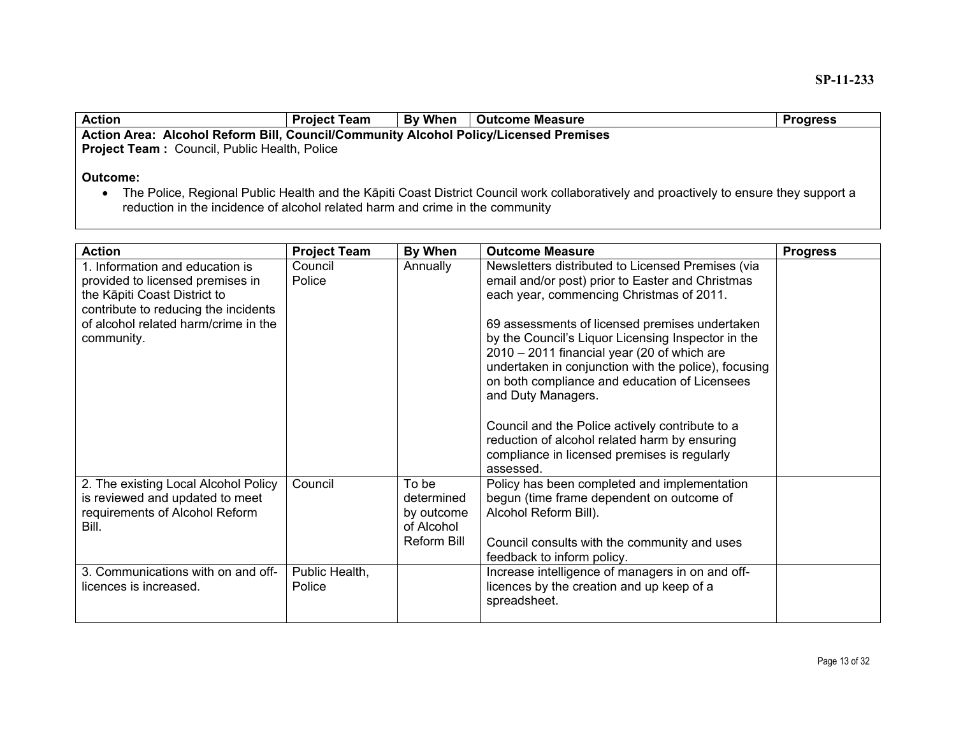| <b>Action</b>                                                                        | <b>Project Team</b> | <b>By When</b> | Outcome Measure | <b>Progress</b> |  |
|--------------------------------------------------------------------------------------|---------------------|----------------|-----------------|-----------------|--|
| Action Area: Alcohol Reform Bill, Council/Community Alcohol Policy/Licensed Premises |                     |                |                 |                 |  |
| <b>Project Team: Council, Public Health, Police</b>                                  |                     |                |                 |                 |  |
| Outcome:                                                                             |                     |                |                 |                 |  |

• The Police, Regional Public Health and the Kāpiti Coast District Council work collaboratively and proactively to ensure they support a reduction in the incidence of alcohol related harm and crime in the community

| <b>Action</b>                                                                                                      | <b>Project Team</b>      | By When                                                        | <b>Outcome Measure</b>                                                                                                                                                                                                                                                             | <b>Progress</b> |
|--------------------------------------------------------------------------------------------------------------------|--------------------------|----------------------------------------------------------------|------------------------------------------------------------------------------------------------------------------------------------------------------------------------------------------------------------------------------------------------------------------------------------|-----------------|
| 1. Information and education is<br>provided to licensed premises in<br>the Kāpiti Coast District to                | Council<br>Police        | Annually                                                       | Newsletters distributed to Licensed Premises (via<br>email and/or post) prior to Easter and Christmas<br>each year, commencing Christmas of 2011.                                                                                                                                  |                 |
| contribute to reducing the incidents<br>of alcohol related harm/crime in the<br>community.                         |                          |                                                                | 69 assessments of licensed premises undertaken<br>by the Council's Liquor Licensing Inspector in the<br>2010 - 2011 financial year (20 of which are<br>undertaken in conjunction with the police), focusing<br>on both compliance and education of Licensees<br>and Duty Managers. |                 |
|                                                                                                                    |                          |                                                                | Council and the Police actively contribute to a<br>reduction of alcohol related harm by ensuring<br>compliance in licensed premises is regularly<br>assessed.                                                                                                                      |                 |
| 2. The existing Local Alcohol Policy<br>is reviewed and updated to meet<br>requirements of Alcohol Reform<br>Bill. | Council                  | To be<br>determined<br>by outcome<br>of Alcohol<br>Reform Bill | Policy has been completed and implementation<br>begun (time frame dependent on outcome of<br>Alcohol Reform Bill).<br>Council consults with the community and uses<br>feedback to inform policy.                                                                                   |                 |
| 3. Communications with on and off-<br>licences is increased.                                                       | Public Health,<br>Police |                                                                | Increase intelligence of managers in on and off-<br>licences by the creation and up keep of a<br>spreadsheet.                                                                                                                                                                      |                 |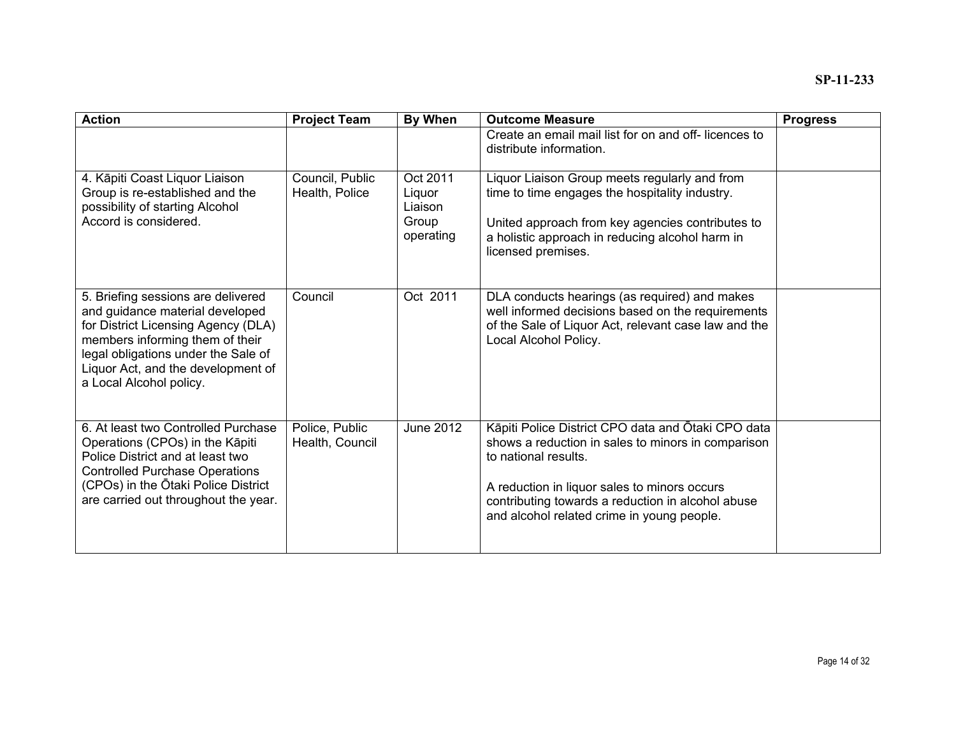| <b>Action</b>                                                                                                                                                                                                                                           | <b>Project Team</b>               | By When                                             | <b>Outcome Measure</b>                                                                                                                                                                                                                                                              | <b>Progress</b> |
|---------------------------------------------------------------------------------------------------------------------------------------------------------------------------------------------------------------------------------------------------------|-----------------------------------|-----------------------------------------------------|-------------------------------------------------------------------------------------------------------------------------------------------------------------------------------------------------------------------------------------------------------------------------------------|-----------------|
|                                                                                                                                                                                                                                                         |                                   |                                                     | Create an email mail list for on and off-licences to<br>distribute information.                                                                                                                                                                                                     |                 |
| 4. Kāpiti Coast Liquor Liaison<br>Group is re-established and the<br>possibility of starting Alcohol<br>Accord is considered.                                                                                                                           | Council, Public<br>Health, Police | Oct 2011<br>Liquor<br>Liaison<br>Group<br>operating | Liquor Liaison Group meets regularly and from<br>time to time engages the hospitality industry.<br>United approach from key agencies contributes to<br>a holistic approach in reducing alcohol harm in<br>licensed premises.                                                        |                 |
| 5. Briefing sessions are delivered<br>and guidance material developed<br>for District Licensing Agency (DLA)<br>members informing them of their<br>legal obligations under the Sale of<br>Liquor Act, and the development of<br>a Local Alcohol policy. | Council                           | Oct 2011                                            | DLA conducts hearings (as required) and makes<br>well informed decisions based on the requirements<br>of the Sale of Liquor Act, relevant case law and the<br>Local Alcohol Policy.                                                                                                 |                 |
| 6. At least two Controlled Purchase<br>Operations (CPOs) in the Kāpiti<br>Police District and at least two<br><b>Controlled Purchase Operations</b><br>(CPOs) in the Otaki Police District<br>are carried out throughout the year.                      | Police, Public<br>Health, Council | <b>June 2012</b>                                    | Kāpiti Police District CPO data and Ōtaki CPO data<br>shows a reduction in sales to minors in comparison<br>to national results.<br>A reduction in liquor sales to minors occurs<br>contributing towards a reduction in alcohol abuse<br>and alcohol related crime in young people. |                 |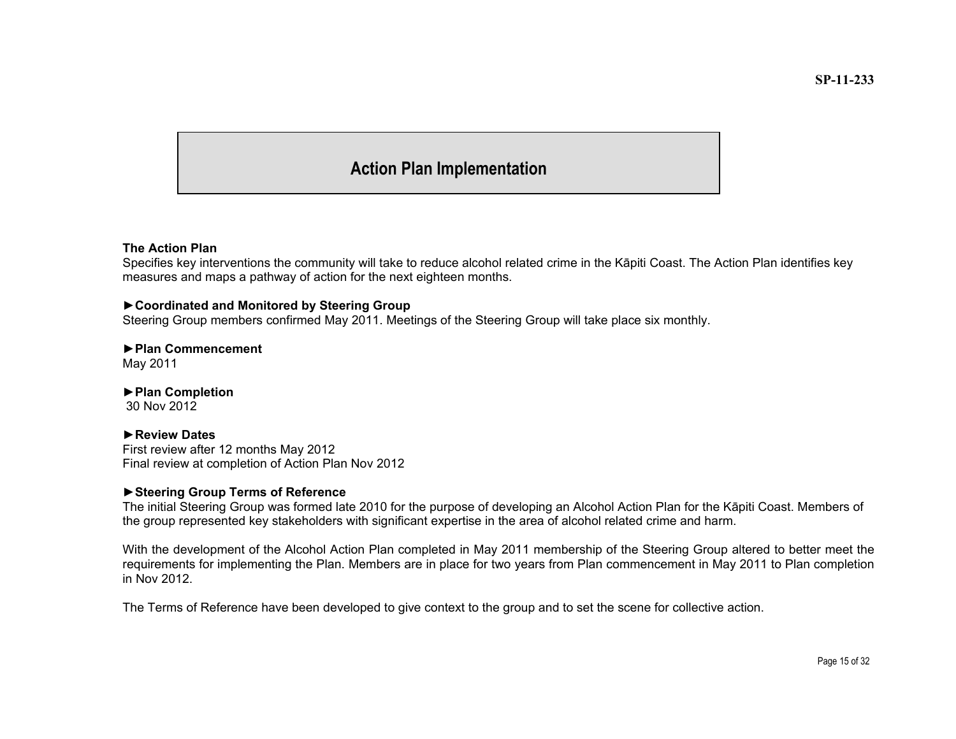#### **Action Plan Implementation**

#### **The Action Plan**

Specifies key interventions the community will take to reduce alcohol related crime in the K āpiti Coast. The Action Plan identifies key measures and maps a pathway of action for the next eighteen months.

#### **►Coordinated and Monitored by Steering Group**

Steering Group members confirmed May 2011. Meetings of the Steering Group will take place six monthly.

### **►Plan Commencement**

May 2011

#### ►**Plan Completion**

30 Nov 2012

#### ►**Review Dates**

First review after 12 months May 2012 Final review at completion of Action Plan Nov 2012

#### ►**Steering Group Terms of Reference**

The initial Steering Group was formed late 2010 for the purpose of developing an Alcohol Action Plan for the K āpiti Coast. Members of the group represented key stakeholders with significant expertise in the area of alcohol related crime and harm.

With the development of the Alcohol Action Plan completed in May 2011 membership of the Steering Group altered to better meet the requirements for implementing the Plan. Members are in place for two years from Plan commencement in May 2011 to Plan completion in Nov 2012.

The Terms of Reference have been developed to give context to the group and to set the scene for collective action.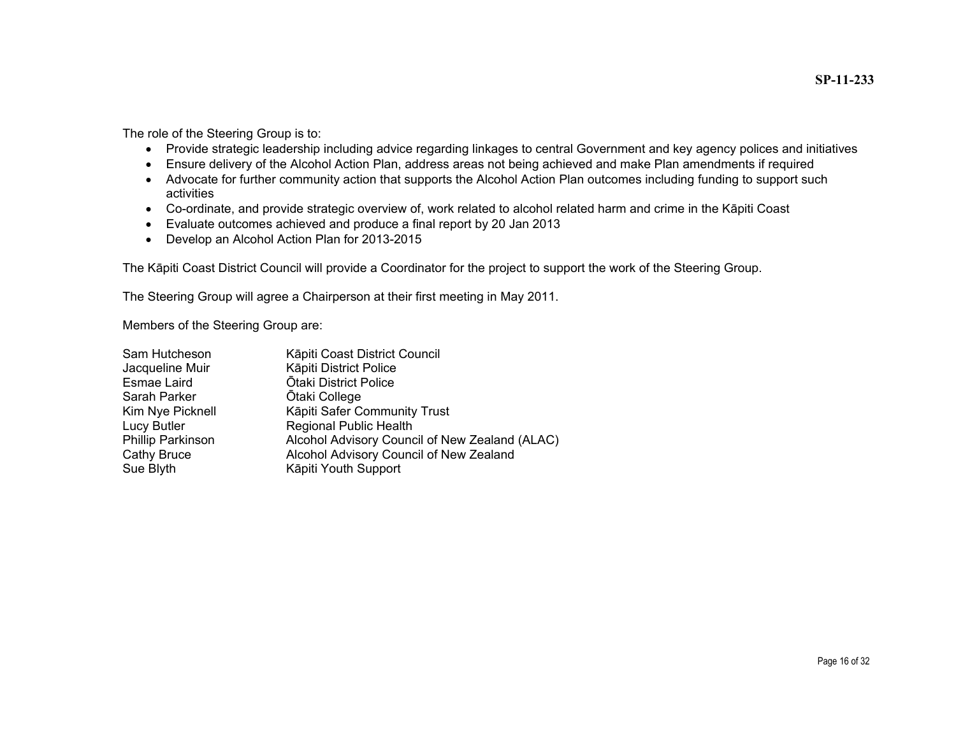**SP-11-233**

The role of the Steering Group is to:

- Provide strategic leadership including advice regarding linkages to central Government and key agency polices and initiatives
- Ensure delivery of the Alcohol Action Plan, address areas not being achieved and make Plan amendments if required
- Advocate for further community action that supports the Alcohol Action Plan outcomes including funding to support such activities
- Co-ordinate, and provide strategic overview of, work related to alcohol related harm and crime in the K āpiti Coast
- Evaluate outcomes achieved and produce a final report by 20 Jan 2013
- Develop an Alcohol Action Plan for 2013-2015

The K āpiti Coast District Council will provide a Coordinator for the project to support the work of the Steering Group.

The Steering Group will agree a Chairperson at their first meeting in May 2011.

Members of the Steering Group are:

| Sam Hutcheson     | Kāpiti Coast District Council                  |
|-------------------|------------------------------------------------|
| Jacqueline Muir   | Kāpiti District Police                         |
| Esmae Laird       | <b>Ōtaki District Police</b>                   |
| Sarah Parker      | <b>Otaki College</b>                           |
| Kim Nye Picknell  | Kāpiti Safer Community Trust                   |
| Lucy Butler       | <b>Regional Public Health</b>                  |
| Phillip Parkinson | Alcohol Advisory Council of New Zealand (ALAC) |
| Cathy Bruce       | Alcohol Advisory Council of New Zealand        |
| Sue Blyth         | Kāpiti Youth Support                           |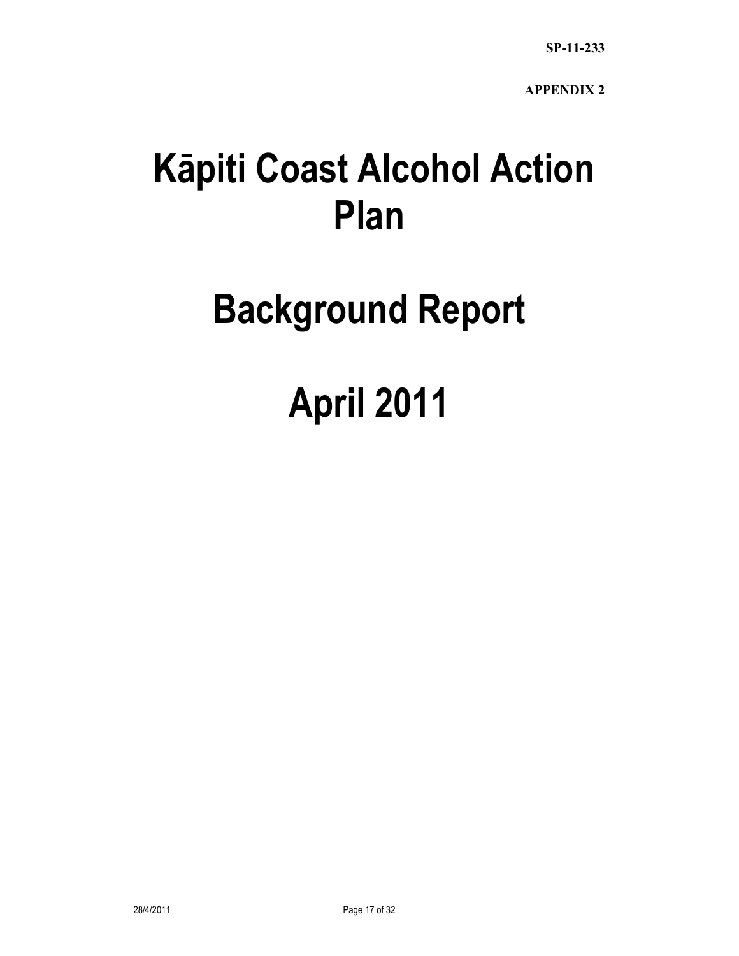### **Kāpiti Coast Alcohol Action Plan**

## **Background Report**

# **April 2011**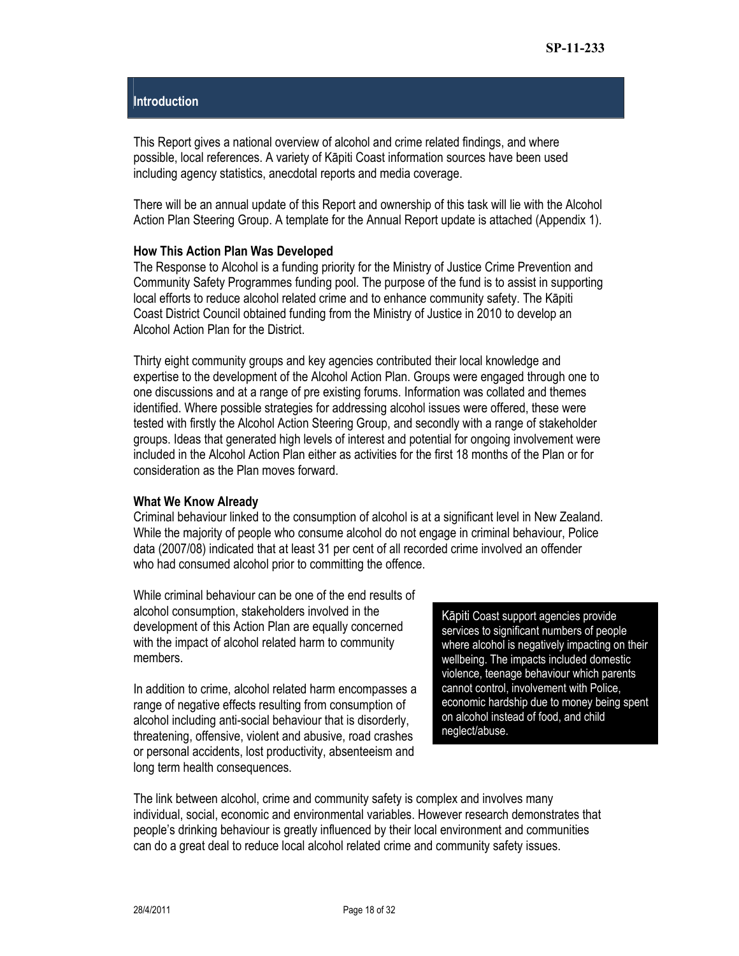#### **Introduction**

This Report gives a national overview of alcohol and crime related findings, and where possible, local references. A variety of Kāpiti Coast information sources have been used including agency statistics, anecdotal reports and media coverage.

There will be an annual update of this Report and ownership of this task will lie with the Alcohol Action Plan Steering Group. A template for the Annual Report update is attached (Appendix 1).

#### **How This Action Plan Was Developed**

The Response to Alcohol is a funding priority for the Ministry of Justice Crime Prevention and Community Safety Programmes funding pool. The purpose of the fund is to assist in supporting local efforts to reduce alcohol related crime and to enhance community safety. The Kāpiti Coast District Council obtained funding from the Ministry of Justice in 2010 to develop an Alcohol Action Plan for the District.

Thirty eight community groups and key agencies contributed their local knowledge and expertise to the development of the Alcohol Action Plan. Groups were engaged through one to one discussions and at a range of pre existing forums. Information was collated and themes identified. Where possible strategies for addressing alcohol issues were offered, these were tested with firstly the Alcohol Action Steering Group, and secondly with a range of stakeholder groups. Ideas that generated high levels of interest and potential for ongoing involvement were included in the Alcohol Action Plan either as activities for the first 18 months of the Plan or for consideration as the Plan moves forward.

#### **What We Know Already**

Criminal behaviour linked to the consumption of alcohol is at a significant level in New Zealand. While the majority of people who consume alcohol do not engage in criminal behaviour, Police data (2007/08) indicated that at least 31 per cent of all recorded crime involved an offender who had consumed alcohol prior to committing the offence.

While criminal behaviour can be one of the end results of alcohol consumption, stakeholders involved in the development of this Action Plan are equally concerned with the impact of alcohol related harm to community members.

In addition to crime, alcohol related harm encompasses a range of negative effects resulting from consumption of alcohol including anti-social behaviour that is disorderly, threatening, offensive, violent and abusive, road crashes or personal accidents, lost productivity, absenteeism and long term health consequences.

Kāpiti Coast support agencies provide services to significant numbers of people where alcohol is negatively impacting on their wellbeing. The impacts included domestic violence, teenage behaviour which parents cannot control, involvement with Police, economic hardship due to money being spent on alcohol instead of food, and child neglect/abuse.

The link between alcohol, crime and community safety is complex and involves many individual, social, economic and environmental variables. However research demonstrates that people's drinking behaviour is greatly influenced by their local environment and communities can do a great deal to reduce local alcohol related crime and community safety issues.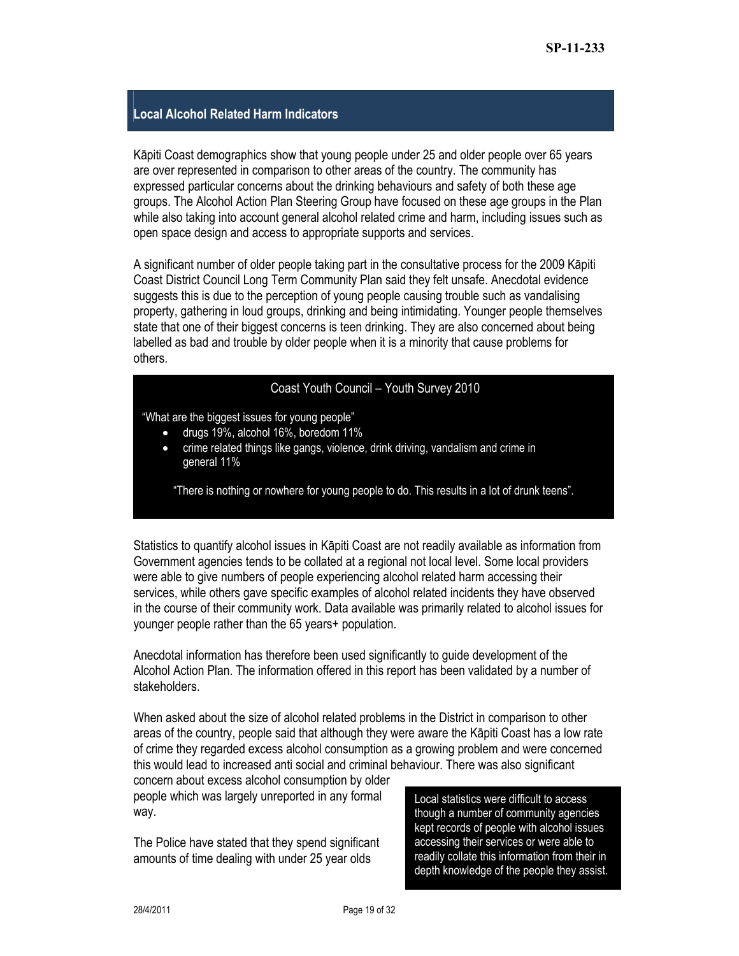#### **Local Alcohol Related Harm Indicators**

Kāpiti Coast demographics show that young people under 25 and older people over 65 years are over represented in comparison to other areas of the country. The community has expressed particular concerns about the drinking behaviours and safety of both these age groups. The Alcohol Action Plan Steering Group have focused on these age groups in the Plan while also taking into account general alcohol related crime and harm, including issues such as open space design and access to appropriate supports and services.

A significant number of older people taking part in the consultative process for the 2009 Kāpiti Coast District Council Long Term Community Plan said they felt unsafe. Anecdotal evidence suggests this is due to the perception of young people causing trouble such as vandalising property, gathering in loud groups, drinking and being intimidating. Younger people themselves state that one of their biggest concerns is teen drinking. They are also concerned about being labelled as bad and trouble by older people when it is a minority that cause problems for others.

#### Coast Youth Council – Youth Survey 2010

"What are the biggest issues for young people"

- drugs 19%, alcohol 16%, boredom 11%
- crime related things like gangs, violence, drink driving, vandalism and crime in general 11%

"There is nothing or nowhere for young people to do. This results in a lot of drunk teens".

Statistics to quantify alcohol issues in Kāpiti Coast are not readily available as information from Government agencies tends to be collated at a regional not local level. Some local providers were able to give numbers of people experiencing alcohol related harm accessing their services, while others gave specific examples of alcohol related incidents they have observed in the course of their community work. Data available was primarily related to alcohol issues for younger people rather than the 65 years+ population.

Anecdotal information has therefore been used significantly to guide development of the Alcohol Action Plan. The information offered in this report has been validated by a number of stakeholders.

When asked about the size of alcohol related problems in the District in comparison to other areas of the country, people said that although they were aware the Kāpiti Coast has a low rate of crime they regarded excess alcohol consumption as a growing problem and were concerned this would lead to increased anti social and criminal behaviour. There was also significant

concern about excess alcohol consumption by older people which was largely unreported in any formal way.

The Police have stated that they spend significant amounts of time dealing with under 25 year olds

Local statistics were difficult to access though a number of community agencies kept records of people with alcohol issues accessing their services or were able to readily collate this information from their in depth knowledge of the people they assist.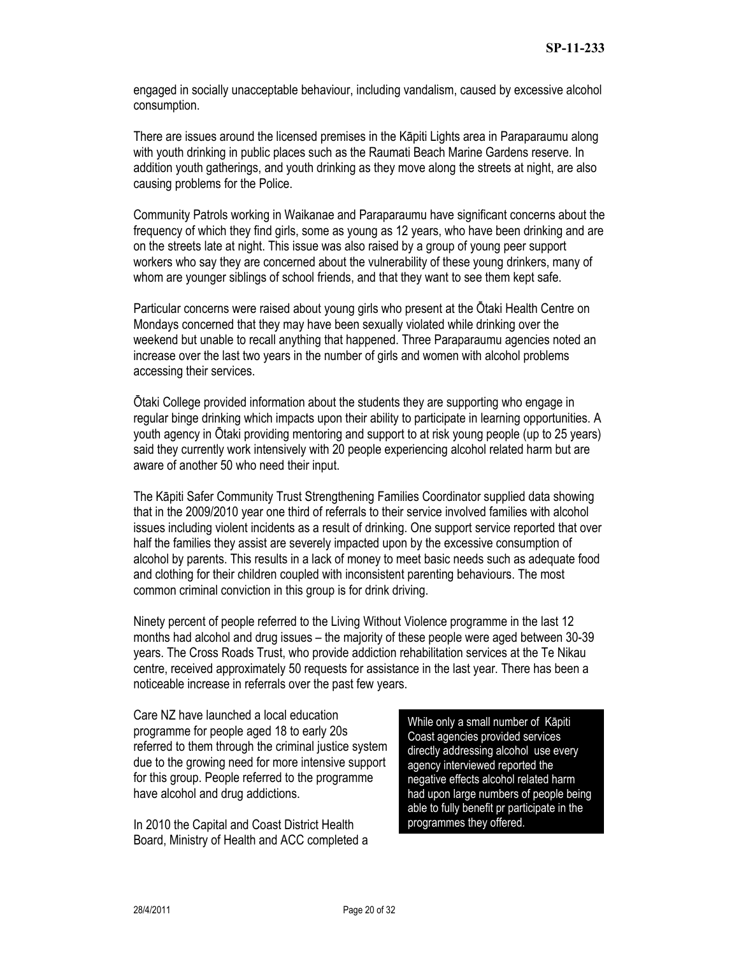engaged in socially unacceptable behaviour, including vandalism, caused by excessive alcohol consumption.

There are issues around the licensed premises in the Kāpiti Lights area in Paraparaumu along with youth drinking in public places such as the Raumati Beach Marine Gardens reserve. In addition youth gatherings, and youth drinking as they move along the streets at night, are also causing problems for the Police.

Community Patrols working in Waikanae and Paraparaumu have significant concerns about the frequency of which they find girls, some as young as 12 years, who have been drinking and are on the streets late at night. This issue was also raised by a group of young peer support workers who say they are concerned about the vulnerability of these young drinkers, many of whom are younger siblings of school friends, and that they want to see them kept safe.

Particular concerns were raised about young girls who present at the Ōtaki Health Centre on Mondays concerned that they may have been sexually violated while drinking over the weekend but unable to recall anything that happened. Three Paraparaumu agencies noted an increase over the last two years in the number of girls and women with alcohol problems accessing their services.

Ōtaki College provided information about the students they are supporting who engage in regular binge drinking which impacts upon their ability to participate in learning opportunities. A youth agency in Ōtaki providing mentoring and support to at risk young people (up to 25 years) said they currently work intensively with 20 people experiencing alcohol related harm but are aware of another 50 who need their input.

The Kāpiti Safer Community Trust Strengthening Families Coordinator supplied data showing that in the 2009/2010 year one third of referrals to their service involved families with alcohol issues including violent incidents as a result of drinking. One support service reported that over half the families they assist are severely impacted upon by the excessive consumption of alcohol by parents. This results in a lack of money to meet basic needs such as adequate food and clothing for their children coupled with inconsistent parenting behaviours. The most common criminal conviction in this group is for drink driving.

Ninety percent of people referred to the Living Without Violence programme in the last 12 months had alcohol and drug issues – the majority of these people were aged between 30-39 years. The Cross Roads Trust, who provide addiction rehabilitation services at the Te Nikau centre, received approximately 50 requests for assistance in the last year. There has been a noticeable increase in referrals over the past few years.

Care NZ have launched a local education programme for people aged 18 to early 20s referred to them through the criminal justice system due to the growing need for more intensive support for this group. People referred to the programme have alcohol and drug addictions.

In 2010 the Capital and Coast District Health Board, Ministry of Health and ACC completed a

While only a small number of Kāpiti Coast agencies provided services directly addressing alcohol use every agency interviewed reported the negative effects alcohol related harm had upon large numbers of people being able to fully benefit pr participate in the programmes they offered.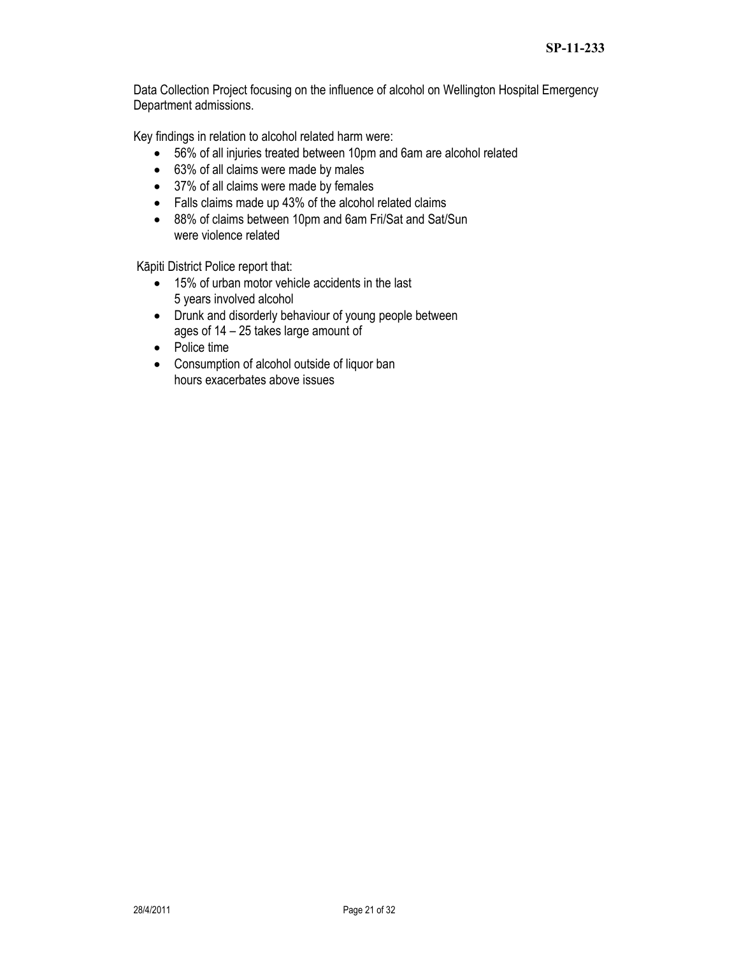Data Collection Project focusing on the influence of alcohol on Wellington Hospital Emergency Department admissions.

Key findings in relation to alcohol related harm were:

- 56% of all injuries treated between 10pm and 6am are alcohol related
- 63% of all claims were made by males
- 37% of all claims were made by females
- Falls claims made up 43% of the alcohol related claims
- 88% of claims between 10pm and 6am Fri/Sat and Sat/Sun were violence related

Kāpiti District Police report that:

- 15% of urban motor vehicle accidents in the last 5 years involved alcohol
- Drunk and disorderly behaviour of young people between ages of 14 – 25 takes large amount of
- Police time
- Consumption of alcohol outside of liquor ban hours exacerbates above issues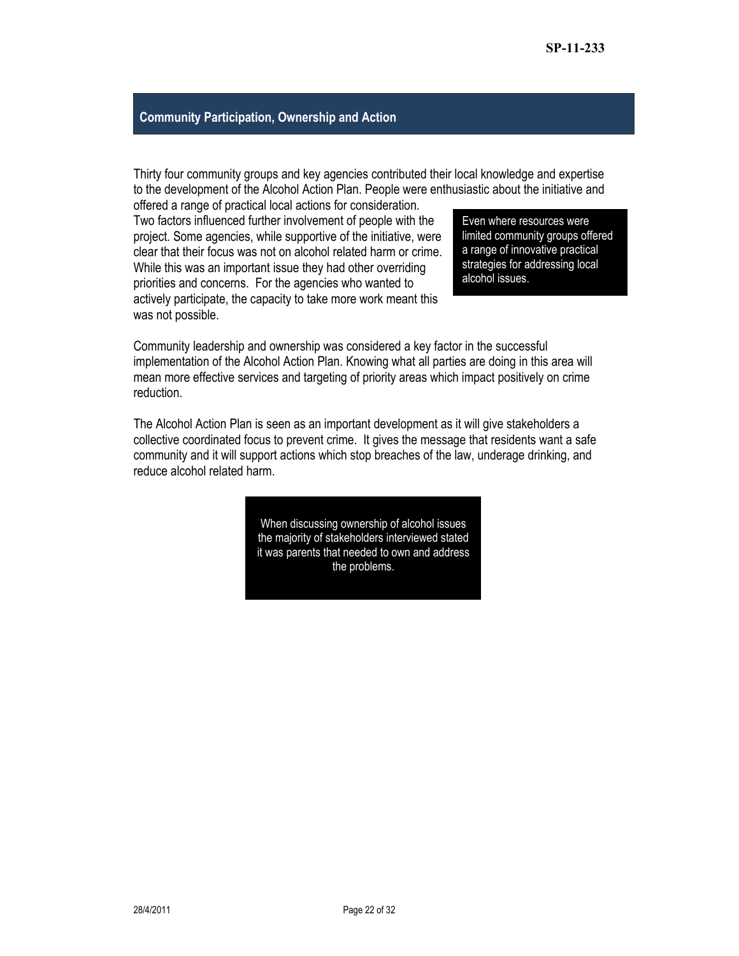#### **Community Participation, Ownership and Action**

Thirty four community groups and key agencies contributed their local knowledge and expertise to the development of the Alcohol Action Plan. People were enthusiastic about the initiative and

offered a range of practical local actions for consideration. Two factors influenced further involvement of people with the project. Some agencies, while supportive of the initiative, were clear that their focus was not on alcohol related harm or crime. While this was an important issue they had other overriding priorities and concerns. For the agencies who wanted to actively participate, the capacity to take more work meant this was not possible.

Even where resources were limited community groups offered a range of innovative practical strategies for addressing local alcohol issues.

Community leadership and ownership was considered a key factor in the successful implementation of the Alcohol Action Plan. Knowing what all parties are doing in this area will mean more effective services and targeting of priority areas which impact positively on crime reduction.

The Alcohol Action Plan is seen as an important development as it will give stakeholders a collective coordinated focus to prevent crime. It gives the message that residents want a safe community and it will support actions which stop breaches of the law, underage drinking, and reduce alcohol related harm.

> When discussing ownership of alcohol issues the majority of stakeholders interviewed stated it was parents that needed to own and address the problems.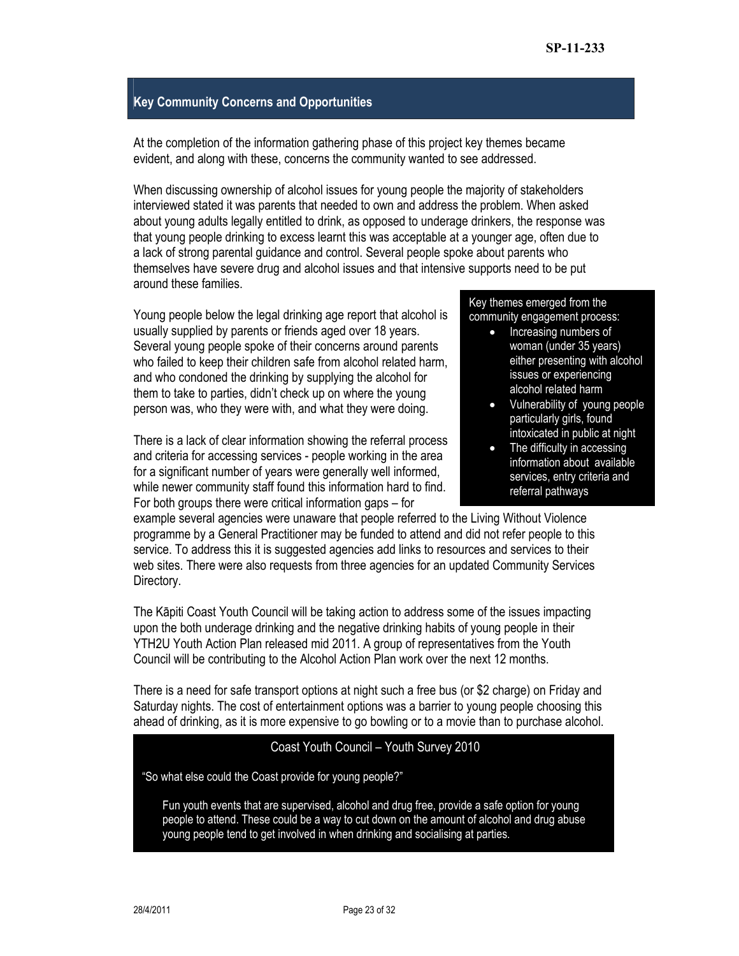#### **Key Community Concerns and Opportunities**

At the completion of the information gathering phase of this project key themes became evident, and along with these, concerns the community wanted to see addressed.

When discussing ownership of alcohol issues for young people the majority of stakeholders interviewed stated it was parents that needed to own and address the problem. When asked about young adults legally entitled to drink, as opposed to underage drinkers, the response was that young people drinking to excess learnt this was acceptable at a younger age, often due to a lack of strong parental guidance and control. Several people spoke about parents who themselves have severe drug and alcohol issues and that intensive supports need to be put around these families.

Young people below the legal drinking age report that alcohol is usually supplied by parents or friends aged over 18 years. Several young people spoke of their concerns around parents who failed to keep their children safe from alcohol related harm, and who condoned the drinking by supplying the alcohol for them to take to parties, didn't check up on where the young person was, who they were with, and what they were doing.

There is a lack of clear information showing the referral process and criteria for accessing services - people working in the area for a significant number of years were generally well informed, while newer community staff found this information hard to find. For both groups there were critical information gaps – for

Key themes emerged from the community engagement process:

- - Increasing numbers of woman (under 35 years) either presenting with alcohol issues or experiencing alcohol related harm
	- Vulnerability of young people particularly girls, found intoxicated in public at night
	- The difficulty in accessing information about available services, entry criteria and referral pathways

example several agencies were unaware that people referred to the Living Without Violence programme by a General Practitioner may be funded to attend and did not refer people to this service. To address this it is suggested agencies add links to resources and services to their web sites. There were also requests from three agencies for an updated Community Services Directory.

The Kāpiti Coast Youth Council will be taking action to address some of the issues impacting upon the both underage drinking and the negative drinking habits of young people in their YTH2U Youth Action Plan released mid 2011. A group of representatives from the Youth Council will be contributing to the Alcohol Action Plan work over the next 12 months.

There is a need for safe transport options at night such a free bus (or \$2 charge) on Friday and Saturday nights. The cost of entertainment options was a barrier to young people choosing this ahead of drinking, as it is more expensive to go bowling or to a movie than to purchase alcohol.

#### Coast Youth Council – Youth Survey 2010

"So what else could the Coast provide for young people?"

Fun youth events that are supervised, alcohol and drug free, provide a safe option for young people to attend. These could be a way to cut down on the amount of alcohol and drug abuse young people tend to get involved in when drinking and socialising at parties.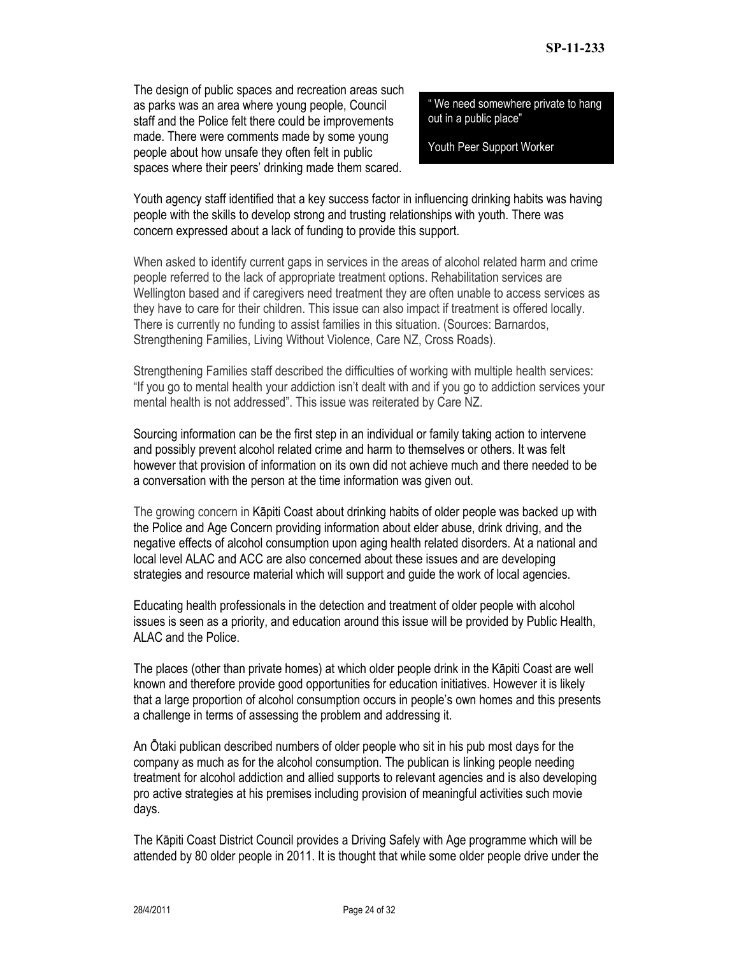The design of public spaces and recreation areas such as parks was an area where young people, Council staff and the Police felt there could be improvements made. There were comments made by some young people about how unsafe they often felt in public spaces where their peers' drinking made them scared.

" We need somewhere private to hang out in a public place"

Youth Peer Support Worker

Youth agency staff identified that a key success factor in influencing drinking habits was having people with the skills to develop strong and trusting relationships with youth. There was concern expressed about a lack of funding to provide this support.

When asked to identify current gaps in services in the areas of alcohol related harm and crime people referred to the lack of appropriate treatment options. Rehabilitation services are Wellington based and if caregivers need treatment they are often unable to access services as they have to care for their children. This issue can also impact if treatment is offered locally. There is currently no funding to assist families in this situation. (Sources: Barnardos, Strengthening Families, Living Without Violence, Care NZ, Cross Roads).

Strengthening Families staff described the difficulties of working with multiple health services: "If you go to mental health your addiction isn't dealt with and if you go to addiction services your mental health is not addressed". This issue was reiterated by Care NZ.

Sourcing information can be the first step in an individual or family taking action to intervene and possibly prevent alcohol related crime and harm to themselves or others. It was felt however that provision of information on its own did not achieve much and there needed to be a conversation with the person at the time information was given out.

The growing concern in Kāpiti Coast about drinking habits of older people was backed up with the Police and Age Concern providing information about elder abuse, drink driving, and the negative effects of alcohol consumption upon aging health related disorders. At a national and local level ALAC and ACC are also concerned about these issues and are developing strategies and resource material which will support and guide the work of local agencies.

Educating health professionals in the detection and treatment of older people with alcohol issues is seen as a priority, and education around this issue will be provided by Public Health, ALAC and the Police.

The places (other than private homes) at which older people drink in the Kāpiti Coast are well known and therefore provide good opportunities for education initiatives. However it is likely that a large proportion of alcohol consumption occurs in people's own homes and this presents a challenge in terms of assessing the problem and addressing it.

An Ōtaki publican described numbers of older people who sit in his pub most days for the company as much as for the alcohol consumption. The publican is linking people needing treatment for alcohol addiction and allied supports to relevant agencies and is also developing pro active strategies at his premises including provision of meaningful activities such movie days.

The Kāpiti Coast District Council provides a Driving Safely with Age programme which will be attended by 80 older people in 2011. It is thought that while some older people drive under the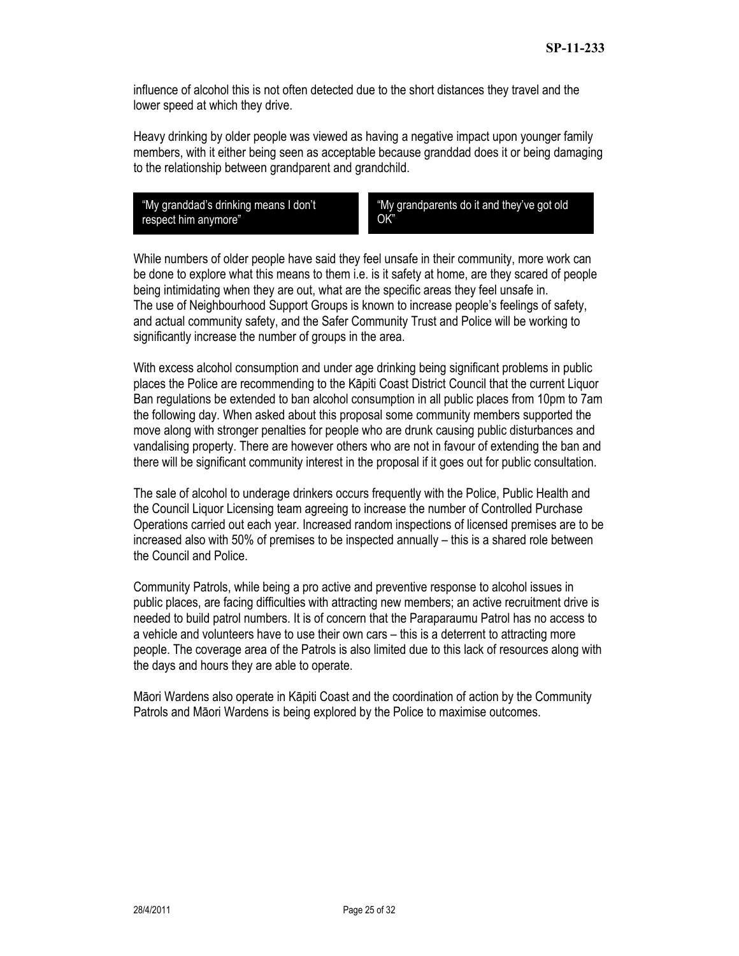influence of alcohol this is not often detected due to the short distances they travel and the lower speed at which they drive.

Heavy drinking by older people was viewed as having a negative impact upon younger family members, with it either being seen as acceptable because granddad does it or being damaging to the relationship between grandparent and grandchild.

"My granddad's drinking means I don't respect him anymore"

"My grandparents do it and they've got old OK"

While numbers of older people have said they feel unsafe in their community, more work can be done to explore what this means to them i.e. is it safety at home, are they scared of people being intimidating when they are out, what are the specific areas they feel unsafe in. The use of Neighbourhood Support Groups is known to increase people's feelings of safety, and actual community safety, and the Safer Community Trust and Police will be working to significantly increase the number of groups in the area.

With excess alcohol consumption and under age drinking being significant problems in public places the Police are recommending to the Kāpiti Coast District Council that the current Liquor Ban regulations be extended to ban alcohol consumption in all public places from 10pm to 7am the following day. When asked about this proposal some community members supported the move along with stronger penalties for people who are drunk causing public disturbances and vandalising property. There are however others who are not in favour of extending the ban and there will be significant community interest in the proposal if it goes out for public consultation.

The sale of alcohol to underage drinkers occurs frequently with the Police, Public Health and the Council Liquor Licensing team agreeing to increase the number of Controlled Purchase Operations carried out each year. Increased random inspections of licensed premises are to be increased also with 50% of premises to be inspected annually – this is a shared role between the Council and Police.

Community Patrols, while being a pro active and preventive response to alcohol issues in public places, are facing difficulties with attracting new members; an active recruitment drive is needed to build patrol numbers. It is of concern that the Paraparaumu Patrol has no access to a vehicle and volunteers have to use their own cars – this is a deterrent to attracting more people. The coverage area of the Patrols is also limited due to this lack of resources along with the days and hours they are able to operate.

Māori Wardens also operate in Kāpiti Coast and the coordination of action by the Community Patrols and Māori Wardens is being explored by the Police to maximise outcomes.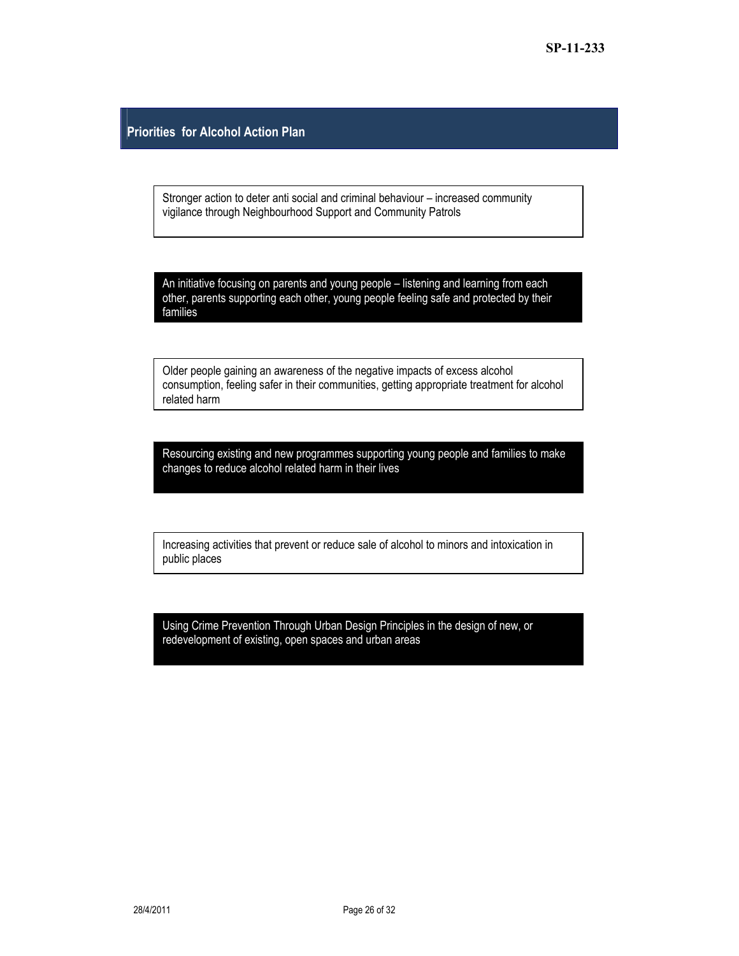#### **Priorities for Alcohol Action Plan**

Stronger action to deter anti social and criminal behaviour – increased community vigilance through Neighbourhood Support and Community Patrols

An initiative focusing on parents and young people – listening and learning from each other, parents supporting each other, young people feeling safe and protected by their families

Older people gaining an awareness of the negative impacts of excess alcohol consumption, feeling safer in their communities, getting appropriate treatment for alcohol related harm

Resourcing existing and new programmes supporting young people and families to make changes to reduce alcohol related harm in their lives

Increasing activities that prevent or reduce sale of alcohol to minors and intoxication in public places

Using Crime Prevention Through Urban Design Principles in the design of new, or redevelopment of existing, open spaces and urban areas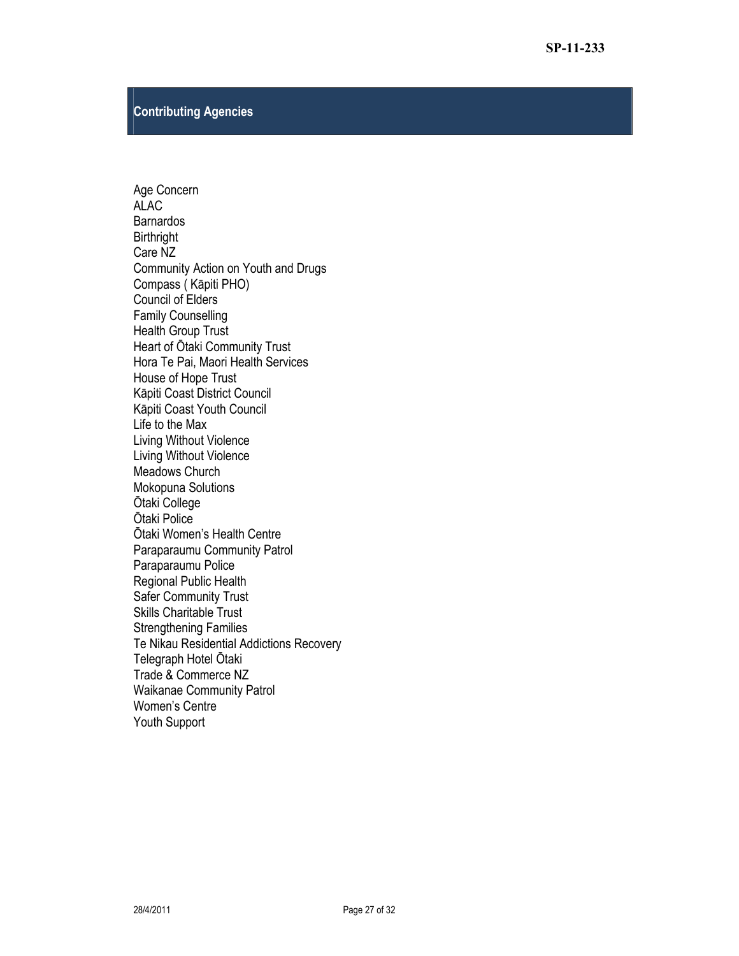#### **Contributing Agencies**

Age Concern ALAC **Barnardos Birthright** Care NZ Community Action on Youth and Drugs Compass ( Kāpiti PHO) Council of Elders Family Counselling Health Group Trust Heart of Ōtaki Community Trust Hora Te Pai, Maori Health Services House of Hope Trust Kāpiti Coast District Council Kāpiti Coast Youth Council Life to the Max Living Without Violence Living Without Violence Meadows Church Mokopuna Solutions Ōtaki College Ōtaki Police Ōtaki Women's Health Centre Paraparaumu Community Patrol Paraparaumu Police Regional Public Health Safer Community Trust Skills Charitable Trust Strengthening Families Te Nikau Residential Addictions Recovery Telegraph Hotel Ōtaki Trade & Commerce NZ Waikanae Community Patrol Women's Centre Youth Support